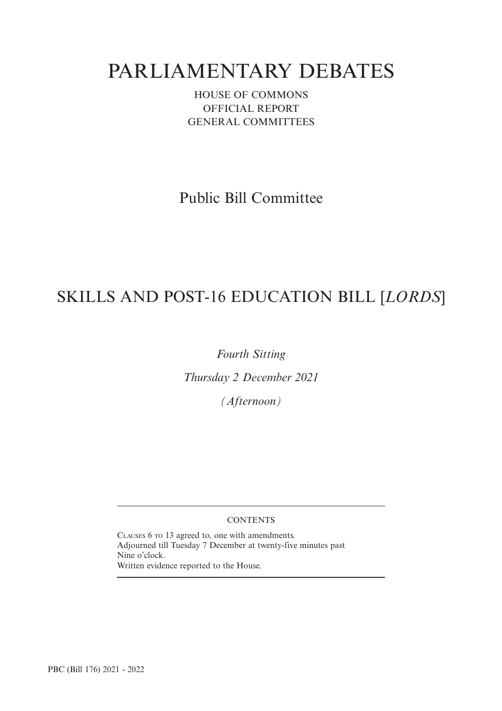# PARLIAMENTARY DEBATES

HOUSE OF COMMONS OFFICIAL REPORT GENERAL COMMITTEES

Public Bill Committee

# SKILLS AND POST-16 EDUCATION BILL [*LORDS*]

*Fourth Sitting*

*Thursday 2 December 2021*

*(Afternoon)*

## **CONTENTS**

CLAUSES 6 TO 13 agreed to, one with amendments. Adjourned till Tuesday 7 December at twenty-five minutes past Nine o'clock. Written evidence reported to the House.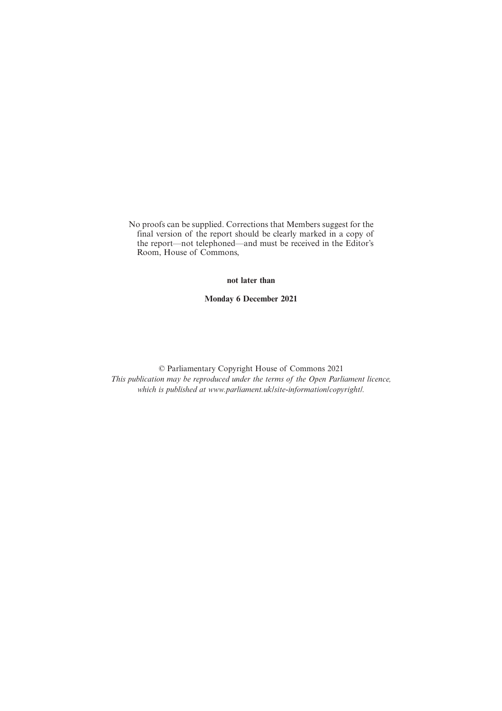No proofs can be supplied. Corrections that Members suggest for the final version of the report should be clearly marked in a copy of the report—not telephoned—and must be received in the Editor's Room, House of Commons,

## **not later than**

**Monday 6 December 2021**

© Parliamentary Copyright House of Commons 2021 *This publication may be reproduced under the terms of the Open Parliament licence, which is published at www.parliament.uk/site-information/copyright/.*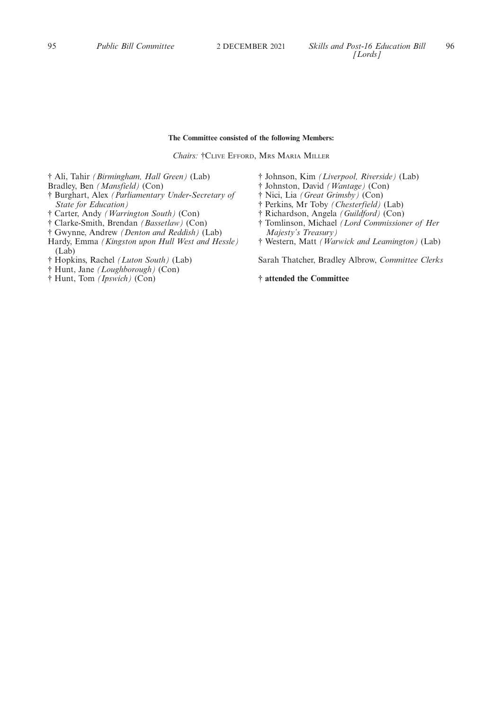## **The Committee consisted of the following Members:**

*Chairs:* †CLIVE EFFORD, MRS MARIA MILLER

† Ali, Tahir *(Birmingham, Hall Green)* (Lab)

Bradley, Ben *(Mansfield)* (Con)

- † Burghart, Alex *(Parliamentary Under-Secretary of State for Education)*
- † Carter, Andy *(Warrington South)* (Con)
- † Clarke-Smith, Brendan *(Bassetlaw)* (Con)
- † Gwynne, Andrew *(Denton and Reddish)* (Lab)
- Hardy, Emma *(Kingston upon Hull West and Hessle)* (Lab)
- † Hopkins, Rachel *(Luton South)* (Lab)
- † Hunt, Jane *(Loughborough)* (Con)
- † Hunt, Tom *(Ipswich)* (Con)
- † Johnson, Kim *(Liverpool, Riverside)* (Lab)
- † Johnston, David *(Wantage)* (Con)
- † Nici, Lia *(Great Grimsby)* (Con)
- † Perkins, Mr Toby *(Chesterfield)* (Lab)
- † Richardson, Angela *(Guildford)* (Con)
- † Tomlinson, Michael *(Lord Commissioner of Her Majesty's Treasury)*
- † Western, Matt *(Warwick and Leamington)* (Lab)

Sarah Thatcher, Bradley Albrow, *Committee Clerks*

**† attended the Committee**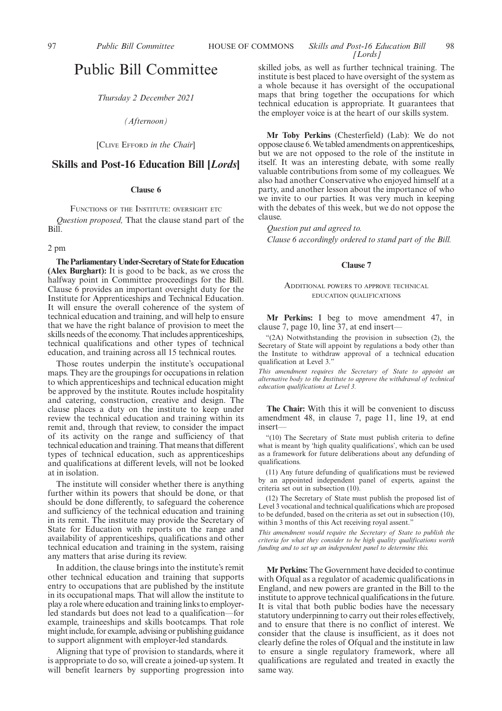## 97 *Public Bill Committee* **HOUSE OF COMMONS** *Skills and Post-16 Education Bill* 98 *[Lords]*

## Public Bill Committee

*Thursday 2 December 2021*

*(Afternoon)*

[CLIVE EFFORD *in the Chair*]

## **Skills and Post-16 Education Bill [***Lords***]**

## **Clause 6**

FUNCTIONS OF THE INSTITUTE: OVERSIGHT ETC *Question proposed,* That the clause stand part of the Bill.

## 2 pm

**The Parliamentary Under-Secretary of State for Education (Alex Burghart):** It is good to be back, as we cross the halfway point in Committee proceedings for the Bill. Clause 6 provides an important oversight duty for the Institute for Apprenticeships and Technical Education. It will ensure the overall coherence of the system of technical education and training, and will help to ensure that we have the right balance of provision to meet the skills needs of the economy. That includes apprenticeships, technical qualifications and other types of technical education, and training across all 15 technical routes.

Those routes underpin the institute's occupational maps. They are the groupings for occupations in relation to which apprenticeships and technical education might be approved by the institute. Routes include hospitality and catering, construction, creative and design. The clause places a duty on the institute to keep under review the technical education and training within its remit and, through that review, to consider the impact of its activity on the range and sufficiency of that technical education and training. That means that different types of technical education, such as apprenticeships and qualifications at different levels, will not be looked at in isolation.

The institute will consider whether there is anything further within its powers that should be done, or that should be done differently, to safeguard the coherence and sufficiency of the technical education and training in its remit. The institute may provide the Secretary of State for Education with reports on the range and availability of apprenticeships, qualifications and other technical education and training in the system, raising any matters that arise during its review.

In addition, the clause brings into the institute's remit other technical education and training that supports entry to occupations that are published by the institute in its occupational maps. That will allow the institute to play a role where education and training links to employerled standards but does not lead to a qualification—for example, traineeships and skills bootcamps. That role might include, for example, advising or publishing guidance to support alignment with employer-led standards.

Aligning that type of provision to standards, where it is appropriate to do so, will create a joined-up system. It will benefit learners by supporting progression into skilled jobs, as well as further technical training. The institute is best placed to have oversight of the system as a whole because it has oversight of the occupational maps that bring together the occupations for which technical education is appropriate. It guarantees that the employer voice is at the heart of our skills system.

**Mr Toby Perkins** (Chesterfield) (Lab): We do not oppose clause 6. We tabled amendments on apprenticeships, but we are not opposed to the role of the institute in itself. It was an interesting debate, with some really valuable contributions from some of my colleagues. We also had another Conservative who enjoyed himself at a party, and another lesson about the importance of who we invite to our parties. It was very much in keeping with the debates of this week, but we do not oppose the clause.

*Question put and agreed to. Clause 6 accordingly ordered to stand part of the Bill.*

#### **Clause 7**

## ADDITIONAL POWERS TO APPROVE TECHNICAL EDUCATION QUALIFICATIONS

**Mr Perkins:** I beg to move amendment 47, in clause 7, page 10, line 37, at end insert—

"(2A) Notwithstanding the provision in subsection (2), the Secretary of State will appoint by regulations a body other than the Institute to withdraw approval of a technical education qualification at Level 3."

*This amendment requires the Secretary of State to appoint an alternative body to the Institute to approve the withdrawal of technical education qualifications at Level 3.*

**The Chair:** With this it will be convenient to discuss amendment 48, in clause 7, page 11, line 19, at end insert—

"(10) The Secretary of State must publish criteria to define what is meant by 'high quality qualifications', which can be used as a framework for future deliberations about any defunding of qualifications.

(11) Any future defunding of qualifications must be reviewed by an appointed independent panel of experts, against the criteria set out in subsection (10).

(12) The Secretary of State must publish the proposed list of Level 3 vocational and technical qualifications which are proposed to be defunded, based on the criteria as set out in subsection (10), within 3 months of this Act receiving royal assent."

*This amendment would require the Secretary of State to publish the criteria for what they consider to be high quality qualifications worth funding and to set up an independent panel to determine this.*

**Mr Perkins:** The Government have decided to continue with Ofqual as a regulator of academic qualifications in England, and new powers are granted in the Bill to the institute to approve technical qualifications in the future. It is vital that both public bodies have the necessary statutory underpinning to carry out their roles effectively, and to ensure that there is no conflict of interest. We consider that the clause is insufficient, as it does not clearly define the roles of Ofqual and the institute in law to ensure a single regulatory framework, where all qualifications are regulated and treated in exactly the same way.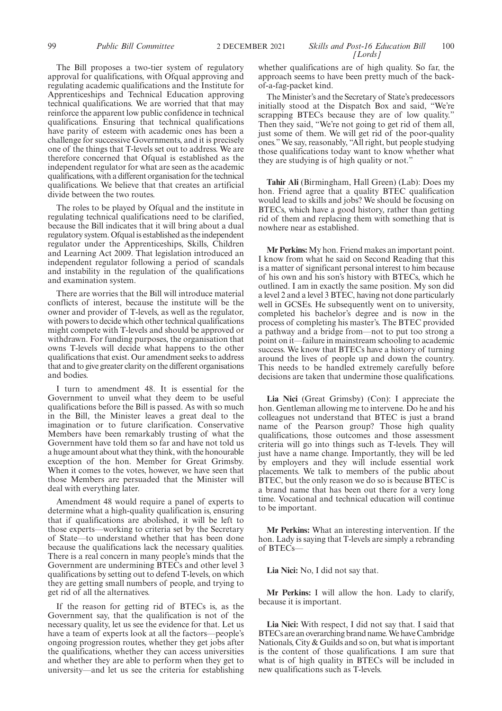The Bill proposes a two-tier system of regulatory approval for qualifications, with Ofqual approving and regulating academic qualifications and the Institute for Apprenticeships and Technical Education approving technical qualifications. We are worried that that may reinforce the apparent low public confidence in technical qualifications. Ensuring that technical qualifications have parity of esteem with academic ones has been a challenge for successive Governments, and it is precisely one of the things that T-levels set out to address. We are therefore concerned that Ofqual is established as the independent regulator for what are seen as the academic qualifications, with a different organisation for the technical qualifications. We believe that that creates an artificial divide between the two routes.

The roles to be played by Ofqual and the institute in regulating technical qualifications need to be clarified, because the Bill indicates that it will bring about a dual regulatory system. Ofqual is established as the independent regulator under the Apprenticeships, Skills, Children and Learning Act 2009. That legislation introduced an independent regulator following a period of scandals and instability in the regulation of the qualifications and examination system.

There are worries that the Bill will introduce material conflicts of interest, because the institute will be the owner and provider of T-levels, as well as the regulator, with powers to decide which other technical qualifications might compete with T-levels and should be approved or withdrawn. For funding purposes, the organisation that owns T-levels will decide what happens to the other qualifications that exist. Our amendment seeks to address that and to give greater clarity on the different organisations and bodies.

I turn to amendment 48. It is essential for the Government to unveil what they deem to be useful qualifications before the Bill is passed. As with so much in the Bill, the Minister leaves a great deal to the imagination or to future clarification. Conservative Members have been remarkably trusting of what the Government have told them so far and have not told us a huge amount about what they think, with the honourable exception of the hon. Member for Great Grimsby. When it comes to the votes, however, we have seen that those Members are persuaded that the Minister will deal with everything later.

Amendment 48 would require a panel of experts to determine what a high-quality qualification is, ensuring that if qualifications are abolished, it will be left to those experts—working to criteria set by the Secretary of State—to understand whether that has been done because the qualifications lack the necessary qualities. There is a real concern in many people's minds that the Government are undermining BTECs and other level 3 qualifications by setting out to defend T-levels, on which they are getting small numbers of people, and trying to get rid of all the alternatives.

If the reason for getting rid of BTECs is, as the Government say, that the qualification is not of the necessary quality, let us see the evidence for that. Let us have a team of experts look at all the factors—people's ongoing progression routes, whether they get jobs after the qualifications, whether they can access universities and whether they are able to perform when they get to university—and let us see the criteria for establishing whether qualifications are of high quality. So far, the approach seems to have been pretty much of the backof-a-fag-packet kind.

The Minister's and the Secretary of State's predecessors initially stood at the Dispatch Box and said, "We're scrapping BTECs because they are of low quality." Then they said, "We're not going to get rid of them all, just some of them. We will get rid of the poor-quality ones." We say, reasonably, "All right, but people studying those qualifications today want to know whether what they are studying is of high quality or not."

**Tahir Ali** (Birmingham, Hall Green) (Lab): Does my hon. Friend agree that a quality BTEC qualification would lead to skills and jobs? We should be focusing on BTECs, which have a good history, rather than getting rid of them and replacing them with something that is nowhere near as established.

**Mr Perkins:** My hon. Friend makes an important point. I know from what he said on Second Reading that this is a matter of significant personal interest to him because of his own and his son's history with BTECs, which he outlined. I am in exactly the same position. My son did a level 2 and a level 3 BTEC, having not done particularly well in GCSEs. He subsequently went on to university, completed his bachelor's degree and is now in the process of completing his master's. The BTEC provided a pathway and a bridge from—not to put too strong a point on it—failure in mainstream schooling to academic success. We know that BTECs have a history of turning around the lives of people up and down the country. This needs to be handled extremely carefully before decisions are taken that undermine those qualifications.

**Lia Nici** (Great Grimsby) (Con): I appreciate the hon. Gentleman allowing me to intervene. Do he and his colleagues not understand that BTEC is just a brand name of the Pearson group? Those high quality qualifications, those outcomes and those assessment criteria will go into things such as T-levels. They will just have a name change. Importantly, they will be led by employers and they will include essential work placements. We talk to members of the public about BTEC, but the only reason we do so is because BTEC is a brand name that has been out there for a very long time. Vocational and technical education will continue to be important.

**Mr Perkins:** What an interesting intervention. If the hon. Lady is saying that T-levels are simply a rebranding of BTECs—

**Lia Nici:** No, I did not say that.

**Mr Perkins:** I will allow the hon. Lady to clarify, because it is important.

**Lia Nici:** With respect, I did not say that. I said that BTECs are an overarching brand name. We have Cambridge Nationals, City & Guilds and so on, but what is important is the content of those qualifications. I am sure that what is of high quality in BTECs will be included in new qualifications such as T-levels.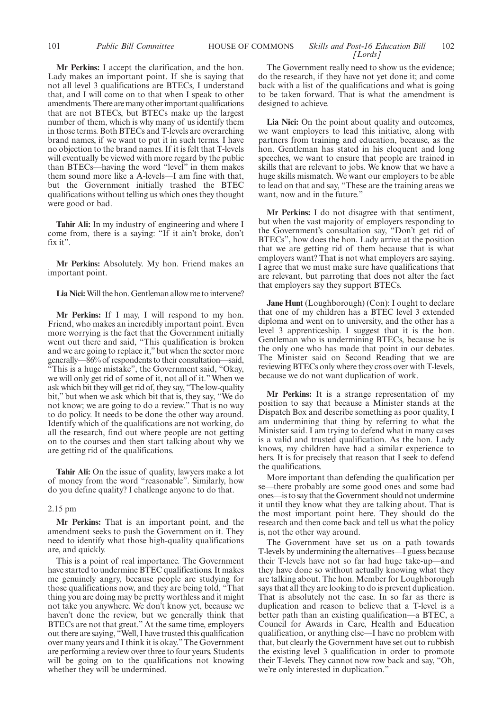**Mr Perkins:** I accept the clarification, and the hon. Lady makes an important point. If she is saying that not all level 3 qualifications are BTECs, I understand that, and I will come on to that when I speak to other amendments. There are many other important qualifications that are not BTECs, but BTECs make up the largest number of them, which is why many of us identify them in those terms. Both BTECs and T-levels are overarching brand names, if we want to put it in such terms. I have no objection to the brand names. If it is felt that T-levels will eventually be viewed with more regard by the public than BTECs—having the word "level" in them makes them sound more like a A-levels—I am fine with that, but the Government initially trashed the BTEC qualifications without telling us which ones they thought were good or bad.

**Tahir Ali:** In my industry of engineering and where I come from, there is a saying: "If it ain't broke, don't fix it".

**Mr Perkins:** Absolutely. My hon. Friend makes an important point.

**Lia Nici:**Will the hon. Gentleman allow me to intervene?

**Mr Perkins:** If I may, I will respond to my hon. Friend, who makes an incredibly important point. Even more worrying is the fact that the Government initially went out there and said, "This qualification is broken and we are going to replace it," but when the sector more generally—86% of respondents to their consultation—said, "This is a huge mistake", the Government said, "Okay, we will only get rid of some of it, not all of it." When we ask which bit they will get rid of, they say, "The low-quality bit," but when we ask which bit that is, they say, "We do not know; we are going to do a review." That is no way to do policy. It needs to be done the other way around. Identify which of the qualifications are not working, do all the research, find out where people are not getting on to the courses and then start talking about why we are getting rid of the qualifications.

**Tahir Ali:** On the issue of quality, lawyers make a lot of money from the word "reasonable". Similarly, how do you define quality? I challenge anyone to do that.

#### 2.15 pm

**Mr Perkins:** That is an important point, and the amendment seeks to push the Government on it. They need to identify what those high-quality qualifications are, and quickly.

This is a point of real importance. The Government have started to undermine BTEC qualifications. It makes me genuinely angry, because people are studying for those qualifications now, and they are being told, "That thing you are doing may be pretty worthless and it might not take you anywhere. We don't know yet, because we haven't done the review, but we generally think that BTECs are not that great." At the same time, employers out there are saying, "Well, I have trusted this qualification over many years and I think it is okay." The Government are performing a review over three to four years. Students will be going on to the qualifications not knowing whether they will be undermined.

The Government really need to show us the evidence; do the research, if they have not yet done it; and come back with a list of the qualifications and what is going to be taken forward. That is what the amendment is designed to achieve.

**Lia Nici:** On the point about quality and outcomes, we want employers to lead this initiative, along with partners from training and education, because, as the hon. Gentleman has stated in his eloquent and long speeches, we want to ensure that people are trained in skills that are relevant to jobs. We know that we have a huge skills mismatch. We want our employers to be able to lead on that and say, "These are the training areas we want, now and in the future."

**Mr Perkins:** I do not disagree with that sentiment, but when the vast majority of employers responding to the Government's consultation say, "Don't get rid of BTECs", how does the hon. Lady arrive at the position that we are getting rid of them because that is what employers want? That is not what employers are saying. I agree that we must make sure have qualifications that are relevant, but parroting that does not alter the fact that employers say they support BTECs.

**Jane Hunt** (Loughborough) (Con): I ought to declare that one of my children has a BTEC level 3 extended diploma and went on to university, and the other has a level 3 apprenticeship. I suggest that it is the hon. Gentleman who is undermining BTECs, because he is the only one who has made that point in our debates. The Minister said on Second Reading that we are reviewing BTECs only where they cross over with T-levels, because we do not want duplication of work.

**Mr Perkins:** It is a strange representation of my position to say that because a Minister stands at the Dispatch Box and describe something as poor quality, I am undermining that thing by referring to what the Minister said. I am trying to defend what in many cases is a valid and trusted qualification. As the hon. Lady knows, my children have had a similar experience to hers. It is for precisely that reason that I seek to defend the qualifications.

More important than defending the qualification per se—there probably are some good ones and some bad ones—is to say that the Government should not undermine it until they know what they are talking about. That is the most important point here. They should do the research and then come back and tell us what the policy is, not the other way around.

The Government have set us on a path towards T-levels by undermining the alternatives—I guess because their T-levels have not so far had huge take-up—and they have done so without actually knowing what they are talking about. The hon. Member for Loughborough says that all they are looking to do is prevent duplication. That is absolutely not the case. In so far as there is duplication and reason to believe that a T-level is a better path than an existing qualification—a BTEC, a Council for Awards in Care, Health and Education qualification, or anything else—I have no problem with that, but clearly the Government have set out to rubbish the existing level 3 qualification in order to promote their T-levels. They cannot now row back and say, "Oh, we're only interested in duplication."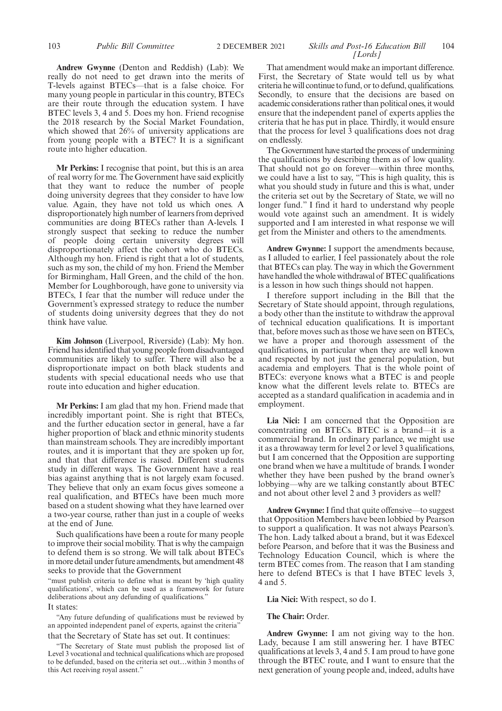## **Andrew Gwynne** (Denton and Reddish) (Lab): We really do not need to get drawn into the merits of T-levels against BTECs—that is a false choice. For many young people in particular in this country, BTECs are their route through the education system. I have BTEC levels 3, 4 and 5. Does my hon. Friend recognise the 2018 research by the Social Market Foundation, which showed that 26% of university applications are from young people with a BTEC? It is a significant route into higher education.

**Mr Perkins:** I recognise that point, but this is an area of real worry for me. The Government have said explicitly that they want to reduce the number of people doing university degrees that they consider to have low value. Again, they have not told us which ones. A disproportionately high number of learners from deprived communities are doing BTECs rather than A-levels. I strongly suspect that seeking to reduce the number of people doing certain university degrees will disproportionately affect the cohort who do BTECs. Although my hon. Friend is right that a lot of students, such as my son, the child of my hon. Friend the Member for Birmingham, Hall Green, and the child of the hon. Member for Loughborough, have gone to university via BTECs, I fear that the number will reduce under the Government's expressed strategy to reduce the number of students doing university degrees that they do not think have value.

**Kim Johnson** (Liverpool, Riverside) (Lab): My hon. Friend has identified that young people from disadvantaged communities are likely to suffer. There will also be a disproportionate impact on both black students and students with special educational needs who use that route into education and higher education.

**Mr Perkins:** I am glad that my hon. Friend made that incredibly important point. She is right that BTECs, and the further education sector in general, have a far higher proportion of black and ethnic minority students than mainstream schools. They are incredibly important routes, and it is important that they are spoken up for, and that that difference is raised. Different students study in different ways. The Government have a real bias against anything that is not largely exam focused. They believe that only an exam focus gives someone a real qualification, and BTECs have been much more based on a student showing what they have learned over a two-year course, rather than just in a couple of weeks at the end of June.

Such qualifications have been a route for many people to improve their social mobility. That is why the campaign to defend them is so strong. We will talk about BTECs in more detail under future amendments, but amendment 48 seeks to provide that the Government

"must publish criteria to define what is meant by 'high quality qualifications', which can be used as a framework for future deliberations about any defunding of qualifications." It states:

"Any future defunding of qualifications must be reviewed by an appointed independent panel of experts, against the criteria" that the Secretary of State has set out. It continues:

"The Secretary of State must publish the proposed list of Level 3 vocational and technical qualifications which are proposed to be defunded, based on the criteria set out…within 3 months of this Act receiving royal assent."

#### 103 *Public Bill Committee Skills and Post-16 Education Bill* 2 DECEMBER 2021 104 *[Lords]*

That amendment would make an important difference. First, the Secretary of State would tell us by what criteria he will continue to fund, or to defund, qualifications. Secondly, to ensure that the decisions are based on academic considerations rather than political ones, it would ensure that the independent panel of experts applies the criteria that he has put in place. Thirdly, it would ensure that the process for level  $\overline{3}$  qualifications does not drag on endlessly.

The Government have started the process of undermining the qualifications by describing them as of low quality. That should not go on forever—within three months, we could have a list to say, "This is high quality, this is what you should study in future and this is what, under the criteria set out by the Secretary of State, we will no longer fund." I find it hard to understand why people would vote against such an amendment. It is widely supported and I am interested in what response we will get from the Minister and others to the amendments.

**Andrew Gwynne:** I support the amendments because, as I alluded to earlier, I feel passionately about the role that BTECs can play. The way in which the Government have handled the whole withdrawal of BTEC qualifications is a lesson in how such things should not happen.

I therefore support including in the Bill that the Secretary of State should appoint, through regulations, a body other than the institute to withdraw the approval of technical education qualifications. It is important that, before moves such as those we have seen on BTECs, we have a proper and thorough assessment of the qualifications, in particular when they are well known and respected by not just the general population, but academia and employers. That is the whole point of BTECs: everyone knows what a BTEC is and people know what the different levels relate to. BTECs are accepted as a standard qualification in academia and in employment.

**Lia Nici:** I am concerned that the Opposition are concentrating on BTECs. BTEC is a brand—it is a commercial brand. In ordinary parlance, we might use it as a throwaway term for level 2 or level 3 qualifications, but I am concerned that the Opposition are supporting one brand when we have a multitude of brands. I wonder whether they have been pushed by the brand owner's lobbying—why are we talking constantly about BTEC and not about other level 2 and 3 providers as well?

**Andrew Gwynne:**I find that quite offensive—to suggest that Opposition Members have been lobbied by Pearson to support a qualification. It was not always Pearson's. The hon. Lady talked about a brand, but it was Edexcel before Pearson, and before that it was the Business and Technology Education Council, which is where the term BTEC comes from. The reason that I am standing here to defend BTECs is that I have BTEC levels 3, 4 and 5.

## **Lia Nici:** With respect, so do I.

## **The Chair:** Order.

**Andrew Gwynne:** I am not giving way to the hon. Lady, because I am still answering her. I have BTEC qualifications at levels 3, 4 and 5. I am proud to have gone through the BTEC route, and I want to ensure that the next generation of young people and, indeed, adults have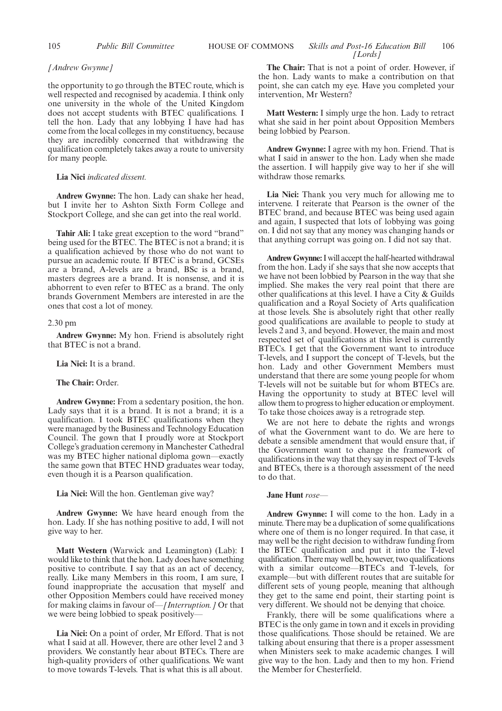## *[Andrew Gwynne]*

the opportunity to go through the BTEC route, which is well respected and recognised by academia. I think only one university in the whole of the United Kingdom does not accept students with BTEC qualifications. I tell the hon. Lady that any lobbying I have had has come from the local colleges in my constituency, because they are incredibly concerned that withdrawing the qualification completely takes away a route to university for many people.

## **Lia Nici** *indicated dissent.*

**Andrew Gwynne:** The hon. Lady can shake her head, but I invite her to Ashton Sixth Form College and Stockport College, and she can get into the real world.

**Tahir Ali:** I take great exception to the word "brand" being used for the BTEC. The BTEC is not a brand; it is a qualification achieved by those who do not want to pursue an academic route. If BTEC is a brand, GCSEs are a brand, A-levels are a brand, BSc is a brand, masters degrees are a brand. It is nonsense, and it is abhorrent to even refer to BTEC as a brand. The only brands Government Members are interested in are the ones that cost a lot of money.

#### 2.30 pm

**Andrew Gwynne:** My hon. Friend is absolutely right that BTEC is not a brand.

**Lia Nici:** It is a brand.

**The Chair:** Order.

**Andrew Gwynne:** From a sedentary position, the hon. Lady says that it is a brand. It is not a brand; it is a qualification. I took BTEC qualifications when they were managed by the Business and Technology Education Council. The gown that I proudly wore at Stockport College's graduation ceremony in Manchester Cathedral was my BTEC higher national diploma gown—exactly the same gown that BTEC HND graduates wear today, even though it is a Pearson qualification.

## **Lia Nici:** Will the hon. Gentleman give way?

**Andrew Gwynne:** We have heard enough from the hon. Lady. If she has nothing positive to add, I will not give way to her.

**Matt Western** (Warwick and Leamington) (Lab): I would like to think that the hon. Lady does have something positive to contribute. I say that as an act of decency, really. Like many Members in this room, I am sure, I found inappropriate the accusation that myself and other Opposition Members could have received money for making claims in favour of—*[Interruption.]* Or that we were being lobbied to speak positively-

**Lia Nici:** On a point of order, Mr Efford. That is not what I said at all. However, there are other level 2 and 3 providers. We constantly hear about BTECs. There are high-quality providers of other qualifications. We want to move towards T-levels. That is what this is all about.

**The Chair:** That is not a point of order. However, if the hon. Lady wants to make a contribution on that point, she can catch my eye. Have you completed your intervention, Mr Western?

**Matt Western:** I simply urge the hon. Lady to retract what she said in her point about Opposition Members being lobbied by Pearson.

**Andrew Gwynne:** I agree with my hon. Friend. That is what I said in answer to the hon. Lady when she made the assertion. I will happily give way to her if she will withdraw those remarks.

**Lia Nici:** Thank you very much for allowing me to intervene. I reiterate that Pearson is the owner of the BTEC brand, and because BTEC was being used again and again, I suspected that lots of lobbying was going on. I did not say that any money was changing hands or that anything corrupt was going on. I did not say that.

**Andrew Gwynne:**I will accept the half-hearted withdrawal from the hon. Lady if she says that she now accepts that we have not been lobbied by Pearson in the way that she implied. She makes the very real point that there are other qualifications at this level. I have a City & Guilds qualification and a Royal Society of Arts qualification at those levels. She is absolutely right that other really good qualifications are available to people to study at levels 2 and 3, and beyond. However, the main and most respected set of qualifications at this level is currently BTECs. I get that the Government want to introduce T-levels, and I support the concept of T-levels, but the hon. Lady and other Government Members must understand that there are some young people for whom T-levels will not be suitable but for whom BTECs are. Having the opportunity to study at BTEC level will allow them to progress to higher education or employment. To take those choices away is a retrograde step.

We are not here to debate the rights and wrongs of what the Government want to do. We are here to debate a sensible amendment that would ensure that, if the Government want to change the framework of qualifications in the way that they say in respect of T-levels and BTECs, there is a thorough assessment of the need to do that.

## **Jane Hunt** *rose—*

**Andrew Gwynne:** I will come to the hon. Lady in a minute. There may be a duplication of some qualifications where one of them is no longer required. In that case, it may well be the right decision to withdraw funding from the BTEC qualification and put it into the T-level qualification. There may well be, however, two qualifications with a similar outcome—BTECs and T-levels, for example—but with different routes that are suitable for different sets of young people, meaning that although they get to the same end point, their starting point is very different. We should not be denying that choice.

Frankly, there will be some qualifications where a BTEC is the only game in town and it excels in providing those qualifications. Those should be retained. We are talking about ensuring that there is a proper assessment when Ministers seek to make academic changes. I will give way to the hon. Lady and then to my hon. Friend the Member for Chesterfield.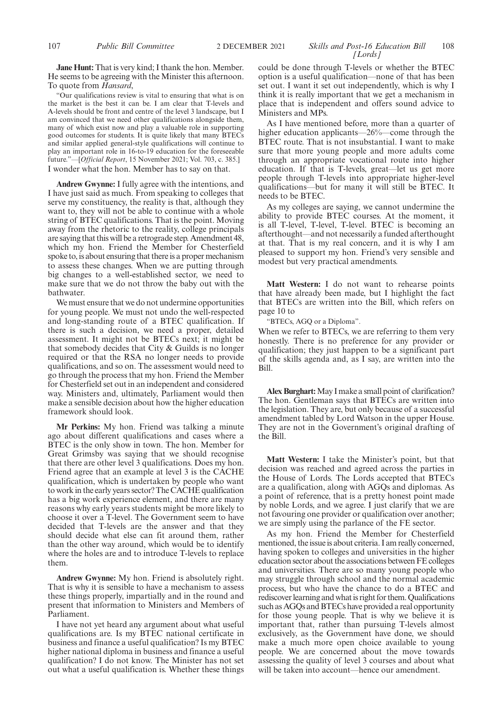**Jane Hunt:** That is very kind; I thank the hon. Member. He seems to be agreeing with the Minister this afternoon. To quote from *Hansard*,

"Our qualifications review is vital to ensuring that what is on the market is the best it can be. I am clear that T-levels and A-levels should be front and centre of the level 3 landscape, but I am convinced that we need other qualifications alongside them, many of which exist now and play a valuable role in supporting good outcomes for students. It is quite likely that many BTECs and similar applied general-style qualifications will continue to play an important role in 16-to-19 education for the foreseeable future."—[*Official Report*, 15 November 2021; Vol. 703, c. 385.] I wonder what the hon. Member has to say on that.

**Andrew Gwynne:** I fully agree with the intentions, and I have just said as much. From speaking to colleges that serve my constituency, the reality is that, although they want to, they will not be able to continue with a whole string of BTEC qualifications. That is the point. Moving away from the rhetoric to the reality, college principals are saying that this will be a retrograde step. Amendment 48, which my hon. Friend the Member for Chesterfield spoke to, is about ensuring that there is a proper mechanism to assess these changes. When we are putting through big changes to a well-established sector, we need to make sure that we do not throw the baby out with the bathwater.

We must ensure that we do not undermine opportunities for young people. We must not undo the well-respected and long-standing route of a BTEC qualification. If there is such a decision, we need a proper, detailed assessment. It might not be BTECs next; it might be that somebody decides that City & Guilds is no longer required or that the RSA no longer needs to provide qualifications, and so on. The assessment would need to go through the process that my hon. Friend the Member for Chesterfield set out in an independent and considered way. Ministers and, ultimately, Parliament would then make a sensible decision about how the higher education framework should look.

**Mr Perkins:** My hon. Friend was talking a minute ago about different qualifications and cases where a BTEC is the only show in town. The hon. Member for Great Grimsby was saying that we should recognise that there are other level 3 qualifications. Does my hon. Friend agree that an example at level 3 is the CACHE qualification, which is undertaken by people who want to work in the early years sector? The CACHE qualification has a big work experience element, and there are many reasons why early years students might be more likely to choose it over a T-level. The Government seem to have decided that T-levels are the answer and that they should decide what else can fit around them, rather than the other way around, which would be to identify where the holes are and to introduce T-levels to replace them.

**Andrew Gwynne:** My hon. Friend is absolutely right. That is why it is sensible to have a mechanism to assess these things properly, impartially and in the round and present that information to Ministers and Members of Parliament.

I have not yet heard any argument about what useful qualifications are. Is my BTEC national certificate in business and finance a useful qualification? Is my BTEC higher national diploma in business and finance a useful qualification? I do not know. The Minister has not set out what a useful qualification is. Whether these things could be done through T-levels or whether the BTEC option is a useful qualification—none of that has been set out. I want it set out independently, which is why I think it is really important that we get a mechanism in place that is independent and offers sound advice to Ministers and MPs.

As I have mentioned before, more than a quarter of higher education applicants—26%—come through the BTEC route. That is not insubstantial. I want to make sure that more young people and more adults come through an appropriate vocational route into higher education. If that is T-levels, great—let us get more people through T-levels into appropriate higher-level qualifications—but for many it will still be BTEC. It needs to be BTEC.

As my colleges are saying, we cannot undermine the ability to provide BTEC courses. At the moment, it is all T-level, T-level, T-level. BTEC is becoming an afterthought—and not necessarily a funded afterthought at that. That is my real concern, and it is why I am pleased to support my hon. Friend's very sensible and modest but very practical amendments.

**Matt Western:** I do not want to rehearse points that have already been made, but I highlight the fact that BTECs are written into the Bill, which refers on page 10 to

"BTECs, AGQ or a Diploma".

When we refer to BTECs, we are referring to them very honestly. There is no preference for any provider or qualification; they just happen to be a significant part of the skills agenda and, as I say, are written into the Bill.

**Alex Burghart:**May I make a small point of clarification? The hon. Gentleman says that BTECs are written into the legislation. They are, but only because of a successful amendment tabled by Lord Watson in the upper House. They are not in the Government's original drafting of the Bill.

**Matt Western:** I take the Minister's point, but that decision was reached and agreed across the parties in the House of Lords. The Lords accepted that BTECs are a qualification, along with AGQs and diplomas. As a point of reference, that is a pretty honest point made by noble Lords, and we agree. I just clarify that we are not favouring one provider or qualification over another; we are simply using the parlance of the FE sector.

As my hon. Friend the Member for Chesterfield mentioned, the issue is about criteria. I am really concerned, having spoken to colleges and universities in the higher education sector about the associations between FE colleges and universities. There are so many young people who may struggle through school and the normal academic process, but who have the chance to do a BTEC and rediscover learning and what is right for them. Qualifications such as AGQs and BTECs have provided a real opportunity for those young people. That is why we believe it is important that, rather than pursuing T-levels almost exclusively, as the Government have done, we should make a much more open choice available to young people. We are concerned about the move towards assessing the quality of level 3 courses and about what will be taken into account—hence our amendment.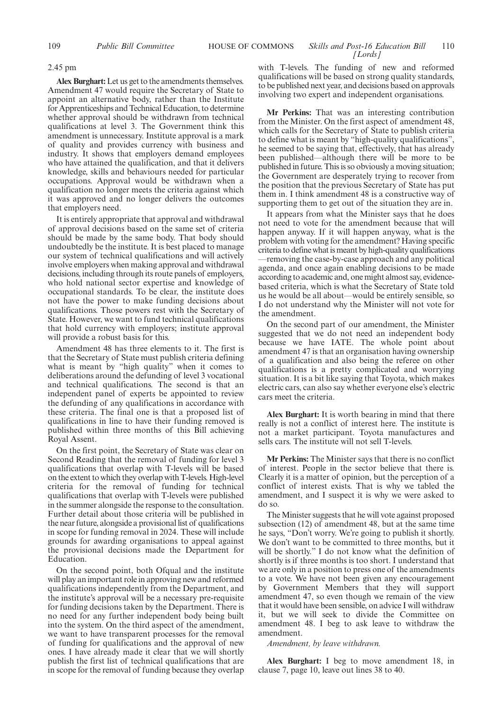## 2.45 pm

**Alex Burghart:**Let us get to the amendments themselves. Amendment 47 would require the Secretary of State to appoint an alternative body, rather than the Institute for Apprenticeships and Technical Education, to determine whether approval should be withdrawn from technical qualifications at level 3. The Government think this amendment is unnecessary. Institute approval is a mark of quality and provides currency with business and industry. It shows that employers demand employees who have attained the qualification, and that it delivers knowledge, skills and behaviours needed for particular occupations. Approval would be withdrawn when a qualification no longer meets the criteria against which it was approved and no longer delivers the outcomes that employers need.

It is entirely appropriate that approval and withdrawal of approval decisions based on the same set of criteria should be made by the same body. That body should undoubtedly be the institute. It is best placed to manage our system of technical qualifications and will actively involve employers when making approval and withdrawal decisions, including through its route panels of employers, who hold national sector expertise and knowledge of occupational standards. To be clear, the institute does not have the power to make funding decisions about qualifications. Those powers rest with the Secretary of State. However, we want to fund technical qualifications that hold currency with employers; institute approval will provide a robust basis for this.

Amendment 48 has three elements to it. The first is that the Secretary of State must publish criteria defining what is meant by "high quality" when it comes to deliberations around the defunding of level 3 vocational and technical qualifications. The second is that an independent panel of experts be appointed to review the defunding of any qualifications in accordance with these criteria. The final one is that a proposed list of qualifications in line to have their funding removed is published within three months of this Bill achieving Royal Assent.

On the first point, the Secretary of State was clear on Second Reading that the removal of funding for level 3 qualifications that overlap with T-levels will be based on the extent to which they overlap with T-levels. High-level criteria for the removal of funding for technical qualifications that overlap with T-levels were published in the summer alongside the response to the consultation. Further detail about those criteria will be published in the near future, alongside a provisional list of qualifications in scope for funding removal in 2024. These will include grounds for awarding organisations to appeal against the provisional decisions made the Department for Education.

On the second point, both Ofqual and the institute will play an important role in approving new and reformed qualifications independently from the Department, and the institute's approval will be a necessary pre-requisite for funding decisions taken by the Department. There is no need for any further independent body being built into the system. On the third aspect of the amendment, we want to have transparent processes for the removal of funding for qualifications and the approval of new ones. I have already made it clear that we will shortly publish the first list of technical qualifications that are in scope for the removal of funding because they overlap with T-levels. The funding of new and reformed qualifications will be based on strong quality standards, to be published next year, and decisions based on approvals involving two expert and independent organisations.

**Mr Perkins:** That was an interesting contribution from the Minister. On the first aspect of amendment 48, which calls for the Secretary of State to publish criteria to define what is meant by "high-quality qualifications", he seemed to be saying that, effectively, that has already been published—although there will be more to be published in future. This is so obviously a moving situation; the Government are desperately trying to recover from the position that the previous Secretary of State has put them in. I think amendment 48 is a constructive way of supporting them to get out of the situation they are in.

It appears from what the Minister says that he does not need to vote for the amendment because that will happen anyway. If it will happen anyway, what is the problem with voting for the amendment? Having specific criteria to define what is meant by high-quality qualifications —removing the case-by-case approach and any political agenda, and once again enabling decisions to be made according to academic and, one might almost say, evidencebased criteria, which is what the Secretary of State told us he would be all about—would be entirely sensible, so I do not understand why the Minister will not vote for the amendment.

On the second part of our amendment, the Minister suggested that we do not need an independent body because we have IATE. The whole point about amendment 47 is that an organisation having ownership of a qualification and also being the referee on other qualifications is a pretty complicated and worrying situation. It is a bit like saying that Toyota, which makes electric cars, can also say whether everyone else's electric cars meet the criteria.

**Alex Burghart:** It is worth bearing in mind that there really is not a conflict of interest here. The institute is not a market participant. Toyota manufactures and sells cars. The institute will not sell T-levels.

**Mr Perkins:** The Minister says that there is no conflict of interest. People in the sector believe that there is. Clearly it is a matter of opinion, but the perception of a conflict of interest exists. That is why we tabled the amendment, and I suspect it is why we were asked to do so.

The Minister suggests that he will vote against proposed subsection (12) of amendment 48, but at the same time he says, "Don't worry. We're going to publish it shortly. We don't want to be committed to three months, but it will be shortly." I do not know what the definition of shortly is if three months is too short. I understand that we are only in a position to press one of the amendments to a vote. We have not been given any encouragement by Government Members that they will support amendment 47, so even though we remain of the view that it would have been sensible, on advice I will withdraw it, but we will seek to divide the Committee on amendment 48. I beg to ask leave to withdraw the amendment.

*Amendment, by leave withdrawn.*

**Alex Burghart:** I beg to move amendment 18, in clause 7, page 10, leave out lines 38 to 40.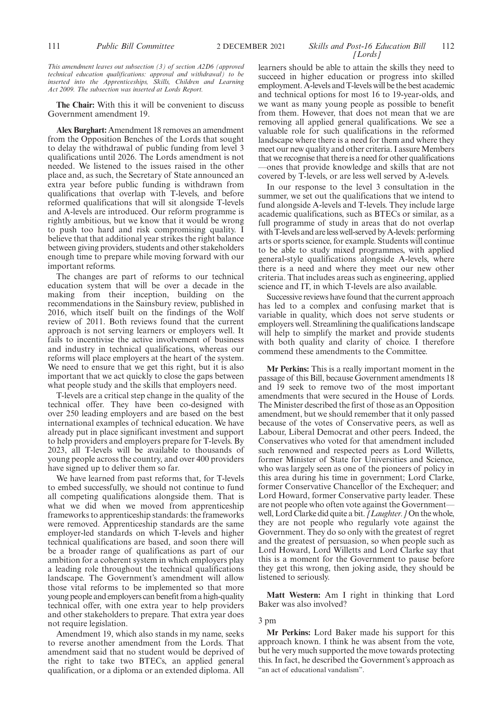*This amendment leaves out subsection (3) of section A2D6 (approved technical education qualifications: approval and withdrawal) to be inserted into the Apprenticeships, Skills, Children and Learning Act 2009. The subsection was inserted at Lords Report.*

**The Chair:** With this it will be convenient to discuss Government amendment 19.

**Alex Burghart:** Amendment 18 removes an amendment from the Opposition Benches of the Lords that sought to delay the withdrawal of public funding from level 3 qualifications until 2026. The Lords amendment is not needed. We listened to the issues raised in the other place and, as such, the Secretary of State announced an extra year before public funding is withdrawn from qualifications that overlap with T-levels, and before reformed qualifications that will sit alongside T-levels and A-levels are introduced. Our reform programme is rightly ambitious, but we know that it would be wrong to push too hard and risk compromising quality. I believe that that additional year strikes the right balance between giving providers, students and other stakeholders enough time to prepare while moving forward with our important reforms.

The changes are part of reforms to our technical education system that will be over a decade in the making from their inception, building on the recommendations in the Sainsbury review, published in 2016, which itself built on the findings of the Wolf review of 2011. Both reviews found that the current approach is not serving learners or employers well. It fails to incentivise the active involvement of business and industry in technical qualifications, whereas our reforms will place employers at the heart of the system. We need to ensure that we get this right, but it is also important that we act quickly to close the gaps between what people study and the skills that employers need.

T-levels are a critical step change in the quality of the technical offer. They have been co-designed with over 250 leading employers and are based on the best international examples of technical education. We have already put in place significant investment and support to help providers and employers prepare for T-levels. By 2023, all T-levels will be available to thousands of young people across the country, and over 400 providers have signed up to deliver them so far.

We have learned from past reforms that, for T-levels to embed successfully, we should not continue to fund all competing qualifications alongside them. That is what we did when we moved from apprenticeship frameworks to apprenticeship standards: the frameworks were removed. Apprenticeship standards are the same employer-led standards on which T-levels and higher technical qualifications are based, and soon there will be a broader range of qualifications as part of our ambition for a coherent system in which employers play a leading role throughout the technical qualifications landscape. The Government's amendment will allow those vital reforms to be implemented so that more young people and employers can benefit from a high-quality technical offer, with one extra year to help providers and other stakeholders to prepare. That extra year does not require legislation.

Amendment 19, which also stands in my name, seeks to reverse another amendment from the Lords. That amendment said that no student would be deprived of the right to take two BTECs, an applied general qualification, or a diploma or an extended diploma. All

111 **Public Bill Committee** 2 DECEMBER 2021 *Skills and Post-16 Education Bill* 112 *[Lords]*

> learners should be able to attain the skills they need to succeed in higher education or progress into skilled employment. A-levels and T-levels will be the best academic and technical options for most 16 to 19-year-olds, and we want as many young people as possible to benefit from them. However, that does not mean that we are removing all applied general qualifications. We see a valuable role for such qualifications in the reformed landscape where there is a need for them and where they meet our new quality and other criteria. I assure Members that we recognise that there is a need for other qualifications —ones that provide knowledge and skills that are not covered by T-levels, or are less well served by A-levels.

> In our response to the level 3 consultation in the summer, we set out the qualifications that we intend to fund alongside A-levels and T-levels. They include large academic qualifications, such as BTECs or similar, as a full programme of study in areas that do not overlap with T-levels and are less well-served by A-levels: performing arts or sports science, for example. Students will continue to be able to study mixed programmes, with applied general-style qualifications alongside A-levels, where there is a need and where they meet our new other criteria. That includes areas such as engineering, applied science and IT, in which T-levels are also available.

> Successive reviews have found that the current approach has led to a complex and confusing market that is variable in quality, which does not serve students or employers well. Streamlining the qualifications landscape will help to simplify the market and provide students with both quality and clarity of choice. I therefore commend these amendments to the Committee.

> **Mr Perkins:** This is a really important moment in the passage of this Bill, because Government amendments 18 and 19 seek to remove two of the most important amendments that were secured in the House of Lords. The Minister described the first of those as an Opposition amendment, but we should remember that it only passed because of the votes of Conservative peers, as well as Labour, Liberal Democrat and other peers. Indeed, the Conservatives who voted for that amendment included such renowned and respected peers as Lord Willetts, former Minister of State for Universities and Science, who was largely seen as one of the pioneers of policy in this area during his time in government; Lord Clarke, former Conservative Chancellor of the Exchequer; and Lord Howard, former Conservative party leader. These are not people who often vote against the Government well, Lord Clarke did quite a bit. *[Laughter.]*On the whole, they are not people who regularly vote against the Government. They do so only with the greatest of regret and the greatest of persuasion, so when people such as Lord Howard, Lord Willetts and Lord Clarke say that this is a moment for the Government to pause before they get this wrong, then joking aside, they should be listened to seriously.

> **Matt Western:** Am I right in thinking that Lord Baker was also involved?

## 3 pm

**Mr Perkins:** Lord Baker made his support for this approach known. I think he was absent from the vote, but he very much supported the move towards protecting this. In fact, he described the Government's approach as "an act of educational vandalism".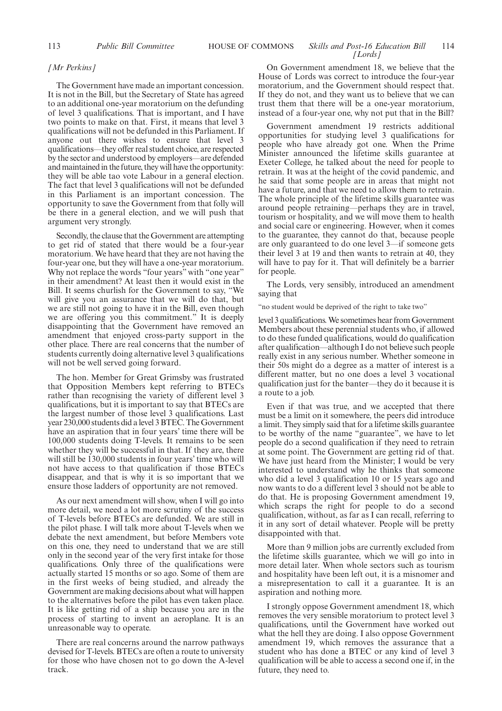## 113 **Public Bill Committee HOUSE OF COMMONS** *Skills and Post-16 Education Bill* 114 *[Lords]*

### *[Mr Perkins]*

The Government have made an important concession. It is not in the Bill, but the Secretary of State has agreed to an additional one-year moratorium on the defunding of level 3 qualifications. That is important, and I have two points to make on that. First, it means that level 3 qualifications will not be defunded in this Parliament. If anyone out there wishes to ensure that level 3 qualifications—they offer real student choice, are respected by the sector and understood by employers—are defended and maintained in the future, they will have the opportunity: they will be able tao vote Labour in a general election. The fact that level 3 qualifications will not be defunded in this Parliament is an important concession. The opportunity to save the Government from that folly will be there in a general election, and we will push that argument very strongly.

Secondly, the clause that the Government are attempting to get rid of stated that there would be a four-year moratorium. We have heard that they are not having the four-year one, but they will have a one-year moratorium. Why not replace the words "four years" with "one year" in their amendment? At least then it would exist in the Bill. It seems churlish for the Government to say, "We will give you an assurance that we will do that, but we are still not going to have it in the Bill, even though we are offering you this commitment." It is deeply disappointing that the Government have removed an amendment that enjoyed cross-party support in the other place. There are real concerns that the number of students currently doing alternative level 3 qualifications will not be well served going forward.

The hon. Member for Great Grimsby was frustrated that Opposition Members kept referring to BTECs rather than recognising the variety of different level 3 qualifications, but it is important to say that BTECs are the largest number of those level 3 qualifications. Last year 230,000 students did a level 3 BTEC. The Government have an aspiration that in four years' time there will be 100,000 students doing T-levels. It remains to be seen whether they will be successful in that. If they are, there will still be 130,000 students in four years' time who will not have access to that qualification if those BTECs disappear, and that is why it is so important that we ensure those ladders of opportunity are not removed.

As our next amendment will show, when I will go into more detail, we need a lot more scrutiny of the success of T-levels before BTECs are defunded. We are still in the pilot phase. I will talk more about T-levels when we debate the next amendment, but before Members vote on this one, they need to understand that we are still only in the second year of the very first intake for those qualifications. Only three of the qualifications were actually started 15 months or so ago. Some of them are in the first weeks of being studied, and already the Government are making decisions about what will happen to the alternatives before the pilot has even taken place. It is like getting rid of a ship because you are in the process of starting to invent an aeroplane. It is an unreasonable way to operate.

There are real concerns around the narrow pathways devised for T-levels. BTECs are often a route to university for those who have chosen not to go down the A-level track.

On Government amendment 18, we believe that the House of Lords was correct to introduce the four-year moratorium, and the Government should respect that. If they do not, and they want us to believe that we can trust them that there will be a one-year moratorium, instead of a four-year one, why not put that in the Bill?

Government amendment 19 restricts additional opportunities for studying level 3 qualifications for people who have already got one. When the Prime Minister announced the lifetime skills guarantee at Exeter College, he talked about the need for people to retrain. It was at the height of the covid pandemic, and he said that some people are in areas that might not have a future, and that we need to allow them to retrain. The whole principle of the lifetime skills guarantee was around people retraining—perhaps they are in travel, tourism or hospitality, and we will move them to health and social care or engineering. However, when it comes to the guarantee, they cannot do that, because people are only guaranteed to do one level 3—if someone gets their level 3 at 19 and then wants to retrain at 40, they will have to pay for it. That will definitely be a barrier for people.

The Lords, very sensibly, introduced an amendment saying that

"no student would be deprived of the right to take two"

level 3 qualifications. We sometimes hear from Government Members about these perennial students who, if allowed to do these funded qualifications, would do qualification after qualification—although I do not believe such people really exist in any serious number. Whether someone in their 50s might do a degree as a matter of interest is a different matter, but no one does a level 3 vocational qualification just for the banter—they do it because it is a route to a job.

Even if that was true, and we accepted that there must be a limit on it somewhere, the peers did introduce a limit. They simply said that for a lifetime skills guarantee to be worthy of the name "guarantee", we have to let people do a second qualification if they need to retrain at some point. The Government are getting rid of that. We have just heard from the Minister; I would be very interested to understand why he thinks that someone who did a level 3 qualification 10 or 15 years ago and now wants to do a different level 3 should not be able to do that. He is proposing Government amendment 19, which scraps the right for people to do a second qualification, without, as far as I can recall, referring to it in any sort of detail whatever. People will be pretty disappointed with that.

More than 9 million jobs are currently excluded from the lifetime skills guarantee, which we will go into in more detail later. When whole sectors such as tourism and hospitality have been left out, it is a misnomer and a misrepresentation to call it a guarantee. It is an aspiration and nothing more.

I strongly oppose Government amendment 18, which removes the very sensible moratorium to protect level 3 qualifications, until the Government have worked out what the hell they are doing. I also oppose Government amendment 19, which removes the assurance that a student who has done a BTEC or any kind of level 3 qualification will be able to access a second one if, in the future, they need to.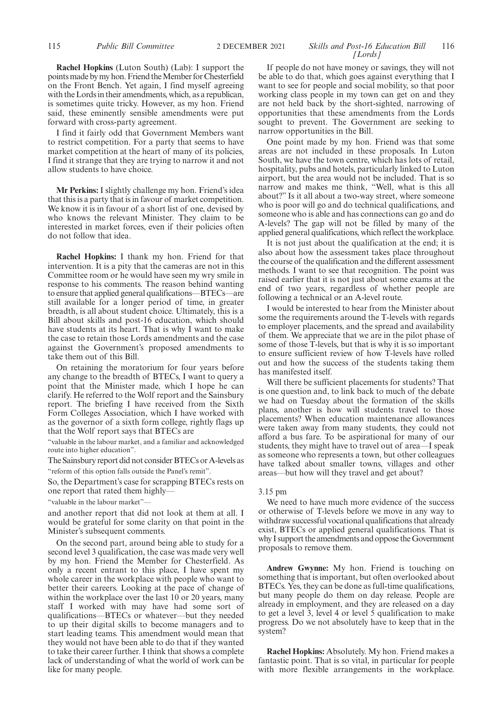**Rachel Hopkins** (Luton South) (Lab): I support the points made by my hon. Friend the Member for Chesterfield on the Front Bench. Yet again, I find myself agreeing with the Lords in their amendments, which, as a republican, is sometimes quite tricky. However, as my hon. Friend said, these eminently sensible amendments were put forward with cross-party agreement.

I find it fairly odd that Government Members want to restrict competition. For a party that seems to have market competition at the heart of many of its policies, I find it strange that they are trying to narrow it and not allow students to have choice.

**Mr Perkins:** I slightly challenge my hon. Friend's idea that this is a party that is in favour of market competition. We know it is in favour of a short list of one, devised by who knows the relevant Minister. They claim to be interested in market forces, even if their policies often do not follow that idea.

**Rachel Hopkins:** I thank my hon. Friend for that intervention. It is a pity that the cameras are not in this Committee room or he would have seen my wry smile in response to his comments. The reason behind wanting to ensure that applied general qualifications—BTECs—are still available for a longer period of time, in greater breadth, is all about student choice. Ultimately, this is a Bill about skills and post-16 education, which should have students at its heart. That is why I want to make the case to retain those Lords amendments and the case against the Government's proposed amendments to take them out of this Bill.

On retaining the moratorium for four years before any change to the breadth of BTECs, I want to query a point that the Minister made, which I hope he can clarify. He referred to the Wolf report and the Sainsbury report. The briefing I have received from the Sixth Form Colleges Association, which I have worked with as the governor of a sixth form college, rightly flags up that the Wolf report says that BTECs are

"valuable in the labour market, and a familiar and acknowledged route into higher education".

The Sainsbury report did not consider BTECs or A-levels as "reform of this option falls outside the Panel's remit".

So, the Department's case for scrapping BTECs rests on one report that rated them highly—

"valuable in the labour market"—

and another report that did not look at them at all. I would be grateful for some clarity on that point in the Minister's subsequent comments.

On the second part, around being able to study for a second level 3 qualification, the case was made very well by my hon. Friend the Member for Chesterfield. As only a recent entrant to this place, I have spent my whole career in the workplace with people who want to better their careers. Looking at the pace of change of within the workplace over the last 10 or 20 years, many staff I worked with may have had some sort of qualifications—BTECs or whatever—but they needed to up their digital skills to become managers and to start leading teams. This amendment would mean that they would not have been able to do that if they wanted to take their career further. I think that shows a complete lack of understanding of what the world of work can be like for many people.

## 115 **Public Bill Committee** 2 DECEMBER 2021 *Skills and Post-16 Education Bill* 116 *[Lords]*

If people do not have money or savings, they will not be able to do that, which goes against everything that I want to see for people and social mobility, so that poor working class people in my town can get on and they are not held back by the short-sighted, narrowing of opportunities that these amendments from the Lords sought to prevent. The Government are seeking to narrow opportunities in the Bill.

One point made by my hon. Friend was that some areas are not included in these proposals. In Luton South, we have the town centre, which has lots of retail, hospitality, pubs and hotels, particularly linked to Luton airport, but the area would not be included. That is so narrow and makes me think, "Well, what is this all about?" Is it all about a two-way street, where someone who is poor will go and do technical qualifications, and someone who is able and has connections can go and do A-levels? The gap will not be filled by many of the applied general qualifications, which reflect the workplace.

It is not just about the qualification at the end; it is also about how the assessment takes place throughout the course of the qualification and the different assessment methods. I want to see that recognition. The point was raised earlier that it is not just about some exams at the end of two years, regardless of whether people are following a technical or an A-level route.

I would be interested to hear from the Minister about some the requirements around the T-levels with regards to employer placements, and the spread and availability of them. We appreciate that we are in the pilot phase of some of those T-levels, but that is why it is so important to ensure sufficient review of how T-levels have rolled out and how the success of the students taking them has manifested itself.

Will there be sufficient placements for students? That is one question and, to link back to much of the debate we had on Tuesday about the formation of the skills plans, another is how will students travel to those placements? When education maintenance allowances were taken away from many students, they could not afford a bus fare. To be aspirational for many of our students, they might have to travel out of area—I speak as someone who represents a town, but other colleagues have talked about smaller towns, villages and other areas—but how will they travel and get about?

#### 3.15 pm

We need to have much more evidence of the success or otherwise of T-levels before we move in any way to withdraw successful vocational qualifications that already exist, BTECs or applied general qualifications. That is why I support the amendments and oppose the Government proposals to remove them.

**Andrew Gwynne:** My hon. Friend is touching on something that is important, but often overlooked about BTECs. Yes, they can be done as full-time qualifications, but many people do them on day release. People are already in employment, and they are released on a day to get a level 3, level 4 or level 5 qualification to make progress. Do we not absolutely have to keep that in the system?

**Rachel Hopkins:** Absolutely. My hon. Friend makes a fantastic point. That is so vital, in particular for people with more flexible arrangements in the workplace.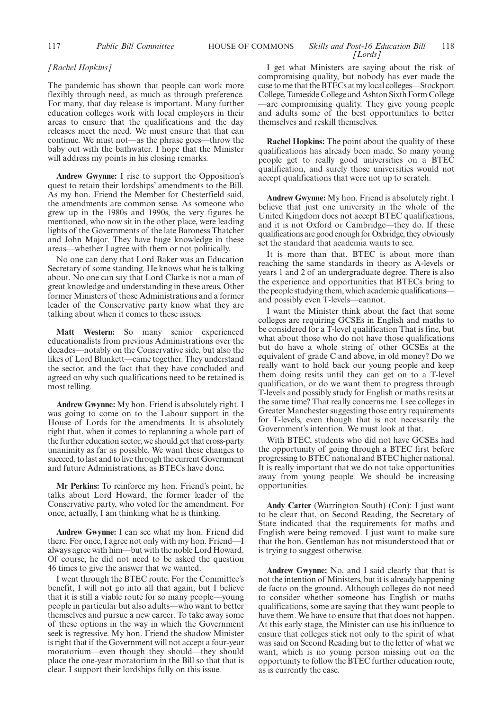## 117 **Public Bill Committee Skills and Post-16 Education Bill** 118 *[Lords]*

## *[Rachel Hopkins]*

The pandemic has shown that people can work more flexibly through need, as much as through preference. For many, that day release is important. Many further education colleges work with local employers in their areas to ensure that the qualifications and the day releases meet the need. We must ensure that that can continue. We must not—as the phrase goes—throw the baby out with the bathwater. I hope that the Minister will address my points in his closing remarks.

**Andrew Gwynne:** I rise to support the Opposition's quest to retain their lordships' amendments to the Bill. As my hon. Friend the Member for Chesterfield said, the amendments are common sense. As someone who grew up in the 1980s and 1990s, the very figures he mentioned, who now sit in the other place, were leading lights of the Governments of the late Baroness Thatcher and John Major. They have huge knowledge in these areas—whether I agree with them or not politically.

No one can deny that Lord Baker was an Education Secretary of some standing. He knows what he is talking about. No one can say that Lord Clarke is not a man of great knowledge and understanding in these areas. Other former Ministers of those Administrations and a former leader of the Conservative party know what they are talking about when it comes to these issues.

**Matt Western:** So many senior experienced educationalists from previous Administrations over the decades—notably on the Conservative side, but also the likes of Lord Blunkett—came together. They understand the sector, and the fact that they have concluded and agreed on why such qualifications need to be retained is most telling.

**Andrew Gwynne:** My hon. Friend is absolutely right. I was going to come on to the Labour support in the House of Lords for the amendments. It is absolutely right that, when it comes to replanning a whole part of the further education sector, we should get that cross-party unanimity as far as possible. We want these changes to succeed, to last and to live through the current Government and future Administrations, as BTECs have done.

**Mr Perkins:** To reinforce my hon. Friend's point, he talks about Lord Howard, the former leader of the Conservative party, who voted for the amendment. For once, actually, I am thinking what he is thinking.

**Andrew Gwynne:** I can see what my hon. Friend did there. For once, I agree not only with my hon. Friend—I always agree with him—but with the noble Lord Howard. Of course, he did not need to be asked the question 46 times to give the answer that we wanted.

I went through the BTEC route. For the Committee's benefit, I will not go into all that again, but I believe that it is still a viable route for so many people—young people in particular but also adults—who want to better themselves and pursue a new career. To take away some of these options in the way in which the Government seek is regressive. My hon. Friend the shadow Minister is right that if the Government will not accept a four-year moratorium—even though they should—they should place the one-year moratorium in the Bill so that that is clear. I support their lordships fully on this issue.

I get what Ministers are saying about the risk of compromising quality, but nobody has ever made the case to me that the BTECs at my local colleges—Stockport College, Tameside College and Ashton Sixth Form College —are compromising quality. They give young people and adults some of the best opportunities to better themselves and reskill themselves.

**Rachel Hopkins:** The point about the quality of these qualifications has already been made. So many young people get to really good universities on a BTEC qualification, and surely those universities would not accept qualifications that were not up to scratch.

**Andrew Gwynne:** My hon. Friend is absolutely right. I believe that just one university in the whole of the United Kingdom does not accept BTEC qualifications, and it is not Oxford or Cambridge—they do. If these qualifications are good enough for Oxbridge, they obviously set the standard that academia wants to see.

It is more than that. BTEC is about more than reaching the same standards in theory as A-levels or years 1 and 2 of an undergraduate degree. There is also the experience and opportunities that BTECs bring to the people studying them, which academic qualifications and possibly even T-levels—cannot.

I want the Minister think about the fact that some colleges are requiring GCSEs in English and maths to be considered for a T-level qualification That is fine, but what about those who do not have those qualifications but do have a whole string of other GCSEs at the equivalent of grade C and above, in old money? Do we really want to hold back our young people and keep them doing resits until they can get on to a T-level qualification, or do we want them to progress through T-levels and possibly study for English or maths resits at the same time? That really concerns me. I see colleges in Greater Manchester suggesting those entry requirements for T-levels, even though that is not necessarily the Government's intention. We must look at that.

With BTEC, students who did not have GCSEs had the opportunity of going through a BTEC first before progressing to BTEC national and BTEC higher national. It is really important that we do not take opportunities away from young people. We should be increasing opportunities.

**Andy Carter** (Warrington South) (Con): I just want to be clear that, on Second Reading, the Secretary of State indicated that the requirements for maths and English were being removed. I just want to make sure that the hon. Gentleman has not misunderstood that or is trying to suggest otherwise.

**Andrew Gwynne:** No, and I said clearly that that is not the intention of Ministers, but it is already happening de facto on the ground. Although colleges do not need to consider whether someone has English or maths qualifications, some are saying that they want people to have them. We have to ensure that that does not happen. At this early stage, the Minister can use his influence to ensure that colleges stick not only to the spirit of what was said on Second Reading but to the letter of what we want, which is no young person missing out on the opportunity to follow the BTEC further education route, as is currently the case.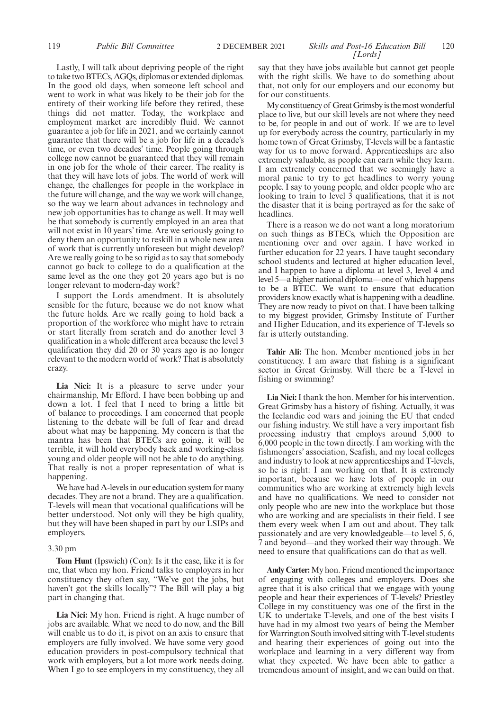Lastly, I will talk about depriving people of the right to take two BTECs, AGQs, diplomas or extended diplomas. In the good old days, when someone left school and went to work in what was likely to be their job for the entirety of their working life before they retired, these things did not matter. Today, the workplace and employment market are incredibly fluid. We cannot guarantee a job for life in 2021, and we certainly cannot guarantee that there will be a job for life in a decade's time, or even two decades' time. People going through college now cannot be guaranteed that they will remain in one job for the whole of their career. The reality is that they will have lots of jobs. The world of work will change, the challenges for people in the workplace in the future will change, and the way we work will change, so the way we learn about advances in technology and new job opportunities has to change as well. It may well be that somebody is currently employed in an area that will not exist in 10 years' time. Are we seriously going to deny them an opportunity to reskill in a whole new area of work that is currently unforeseen but might develop? Are we really going to be so rigid as to say that somebody cannot go back to college to do a qualification at the same level as the one they got 20 years ago but is no longer relevant to modern-day work?

I support the Lords amendment. It is absolutely sensible for the future, because we do not know what the future holds. Are we really going to hold back a proportion of the workforce who might have to retrain or start literally from scratch and do another level 3 qualification in a whole different area because the level 3 qualification they did 20 or 30 years ago is no longer relevant to the modern world of work? That is absolutely crazy.

Lia Nici: It is a pleasure to serve under your chairmanship, Mr Efford. I have been bobbing up and down a lot. I feel that I need to bring a little bit of balance to proceedings. I am concerned that people listening to the debate will be full of fear and dread about what may be happening. My concern is that the mantra has been that BTECs are going, it will be terrible, it will hold everybody back and working-class young and older people will not be able to do anything. That really is not a proper representation of what is happening.

We have had A-levels in our education system for many decades. They are not a brand. They are a qualification. T-levels will mean that vocational qualifications will be better understood. Not only will they be high quality, but they will have been shaped in part by our LSIPs and employers.

#### 3.30 pm

**Tom Hunt** (Ipswich) (Con): Is it the case, like it is for me, that when my hon. Friend talks to employers in her constituency they often say, "We've got the jobs, but haven't got the skills locally"? The Bill will play a big part in changing that.

**Lia Nici:** My hon. Friend is right. A huge number of jobs are available. What we need to do now, and the Bill will enable us to do it, is pivot on an axis to ensure that employers are fully involved. We have some very good education providers in post-compulsory technical that work with employers, but a lot more work needs doing. When I go to see employers in my constituency, they all

say that they have jobs available but cannot get people with the right skills. We have to do something about that, not only for our employers and our economy but for our constituents.

My constituency of Great Grimsby is the most wonderful place to live, but our skill levels are not where they need to be, for people in and out of work. If we are to level up for everybody across the country, particularly in my home town of Great Grimsby, T-levels will be a fantastic way for us to move forward. Apprenticeships are also extremely valuable, as people can earn while they learn. I am extremely concerned that we seemingly have a moral panic to try to get headlines to worry young people. I say to young people, and older people who are looking to train to level 3 qualifications, that it is not the disaster that it is being portrayed as for the sake of headlines.

There is a reason we do not want a long moratorium on such things as BTECs, which the Opposition are mentioning over and over again. I have worked in further education for 22 years. I have taught secondary school students and lectured at higher education level, and I happen to have a diploma at level 3, level 4 and level 5—a higher national diploma—one of which happens to be a BTEC. We want to ensure that education providers know exactly what is happening with a deadline. They are now ready to pivot on that. I have been talking to my biggest provider, Grimsby Institute of Further and Higher Education, and its experience of T-levels so far is utterly outstanding.

**Tahir Ali:** The hon. Member mentioned jobs in her constituency. I am aware that fishing is a significant sector in Great Grimsby. Will there be a T-level in fishing or swimming?

**Lia Nici:**I thank the hon. Member for his intervention. Great Grimsby has a history of fishing. Actually, it was the Icelandic cod wars and joining the EU that ended our fishing industry. We still have a very important fish processing industry that employs around 5,000 to 6,000 people in the town directly. I am working with the fishmongers' association, Seafish, and my local colleges and industry to look at new apprenticeships and T-levels, so he is right: I am working on that. It is extremely important, because we have lots of people in our communities who are working at extremely high levels and have no qualifications. We need to consider not only people who are new into the workplace but those who are working and are specialists in their field. I see them every week when I am out and about. They talk passionately and are very knowledgeable—to level 5, 6, 7 and beyond—and they worked their way through. We need to ensure that qualifications can do that as well.

**Andy Carter:**My hon. Friend mentioned the importance of engaging with colleges and employers. Does she agree that it is also critical that we engage with young people and hear their experiences of T-levels? Priestley College in my constituency was one of the first in the UK to undertake T-levels, and one of the best visits I have had in my almost two years of being the Member for Warrington South involved sitting with T-level students and hearing their experiences of going out into the workplace and learning in a very different way from what they expected. We have been able to gather a tremendous amount of insight, and we can build on that.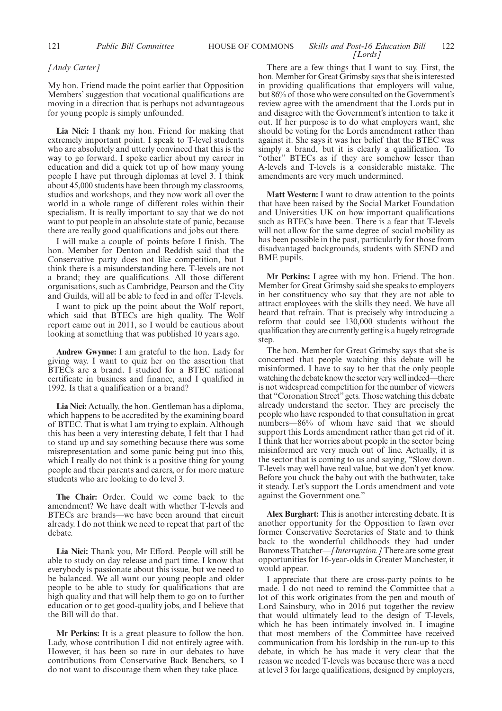## 121 *Public Bill Committee* **HOUSE OF COMMONS** *Skills and Post-16 Education Bill* 122 *[Lords]*

## *[Andy Carter]*

My hon. Friend made the point earlier that Opposition Members' suggestion that vocational qualifications are moving in a direction that is perhaps not advantageous for young people is simply unfounded.

**Lia Nici:** I thank my hon. Friend for making that extremely important point. I speak to T-level students who are absolutely and utterly convinced that this is the way to go forward. I spoke earlier about my career in education and did a quick tot up of how many young people I have put through diplomas at level 3. I think about 45,000 students have been through my classrooms, studios and workshops, and they now work all over the world in a whole range of different roles within their specialism. It is really important to say that we do not want to put people in an absolute state of panic, because there are really good qualifications and jobs out there.

I will make a couple of points before I finish. The hon. Member for Denton and Reddish said that the Conservative party does not like competition, but I think there is a misunderstanding here. T-levels are not a brand; they are qualifications. All those different organisations, such as Cambridge, Pearson and the City and Guilds, will all be able to feed in and offer T-levels.

I want to pick up the point about the Wolf report, which said that BTECs are high quality. The Wolf report came out in 2011, so I would be cautious about looking at something that was published 10 years ago.

**Andrew Gwynne:** I am grateful to the hon. Lady for giving way. I want to quiz her on the assertion that BTECs are a brand. I studied for a BTEC national certificate in business and finance, and I qualified in 1992. Is that a qualification or a brand?

**Lia Nici:** Actually, the hon. Gentleman has a diploma, which happens to be accredited by the examining board of BTEC. That is what I am trying to explain. Although this has been a very interesting debate, I felt that I had to stand up and say something because there was some misrepresentation and some panic being put into this, which I really do not think is a positive thing for young people and their parents and carers, or for more mature students who are looking to do level 3.

**The Chair:** Order. Could we come back to the amendment? We have dealt with whether T-levels and BTECs are brands—we have been around that circuit already. I do not think we need to repeat that part of the debate.

**Lia Nici:** Thank you, Mr Efford. People will still be able to study on day release and part time. I know that everybody is passionate about this issue, but we need to be balanced. We all want our young people and older people to be able to study for qualifications that are high quality and that will help them to go on to further education or to get good-quality jobs, and I believe that the Bill will do that.

**Mr Perkins:** It is a great pleasure to follow the hon. Lady, whose contribution I did not entirely agree with. However, it has been so rare in our debates to have contributions from Conservative Back Benchers, so I do not want to discourage them when they take place.

There are a few things that I want to say. First, the hon. Member for Great Grimsby says that she is interested in providing qualifications that employers will value, but 86% of those who were consulted on the Government's review agree with the amendment that the Lords put in and disagree with the Government's intention to take it out. If her purpose is to do what employers want, she should be voting for the Lords amendment rather than against it. She says it was her belief that the BTEC was simply a brand, but it is clearly a qualification. To "other" BTECs as if they are somehow lesser than A-levels and T-levels is a considerable mistake. The amendments are very much undermined.

**Matt Western:** I want to draw attention to the points that have been raised by the Social Market Foundation and Universities UK on how important qualifications such as BTECs have been. There is a fear that T-levels will not allow for the same degree of social mobility as has been possible in the past, particularly for those from disadvantaged backgrounds, students with SEND and BME pupils.

**Mr Perkins:** I agree with my hon. Friend. The hon. Member for Great Grimsby said she speaks to employers in her constituency who say that they are not able to attract employees with the skills they need. We have all heard that refrain. That is precisely why introducing a reform that could see 130,000 students without the qualification they are currently getting is a hugely retrograde step.

The hon. Member for Great Grimsby says that she is concerned that people watching this debate will be misinformed. I have to say to her that the only people watching the debate know the sector very well indeed—there is not widespread competition for the number of viewers that "Coronation Street"gets. Those watching this debate already understand the sector. They are precisely the people who have responded to that consultation in great numbers—86% of whom have said that we should support this Lords amendment rather than get rid of it. I think that her worries about people in the sector being misinformed are very much out of line. Actually, it is the sector that is coming to us and saying, "Slow down. T-levels may well have real value, but we don't yet know. Before you chuck the baby out with the bathwater, take it steady. Let's support the Lords amendment and vote against the Government one."

**Alex Burghart:** This is another interesting debate. It is another opportunity for the Opposition to fawn over former Conservative Secretaries of State and to think back to the wonderful childhoods they had under Baroness Thatcher—*[Interruption.]* There are some great opportunities for 16-year-olds in Greater Manchester, it would appear.

I appreciate that there are cross-party points to be made. I do not need to remind the Committee that a lot of this work originates from the pen and mouth of Lord Sainsbury, who in 2016 put together the review that would ultimately lead to the design of T-levels, which he has been intimately involved in. I imagine that most members of the Committee have received communication from his lordship in the run-up to this debate, in which he has made it very clear that the reason we needed T-levels was because there was a need at level 3 for large qualifications, designed by employers,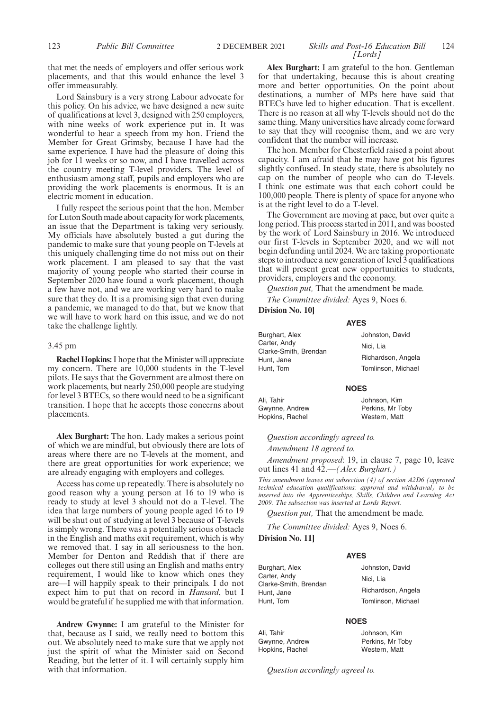that met the needs of employers and offer serious work placements, and that this would enhance the level 3 offer immeasurably.

Lord Sainsbury is a very strong Labour advocate for this policy. On his advice, we have designed a new suite of qualifications at level 3, designed with 250 employers, with nine weeks of work experience put in. It was wonderful to hear a speech from my hon. Friend the Member for Great Grimsby, because I have had the same experience. I have had the pleasure of doing this job for 11 weeks or so now, and I have travelled across the country meeting T-level providers. The level of enthusiasm among staff, pupils and employers who are providing the work placements is enormous. It is an electric moment in education.

I fully respect the serious point that the hon. Member for Luton South made about capacity for work placements, an issue that the Department is taking very seriously. My officials have absolutely busted a gut during the pandemic to make sure that young people on T-levels at this uniquely challenging time do not miss out on their work placement. I am pleased to say that the vast majority of young people who started their course in September 2020 have found a work placement, though a few have not, and we are working very hard to make sure that they do. It is a promising sign that even during a pandemic, we managed to do that, but we know that we will have to work hard on this issue, and we do not take the challenge lightly.

## 3.45 pm

**Rachel Hopkins:**I hope that the Minister will appreciate my concern. There are 10,000 students in the T-level pilots. He says that the Government are almost there on work placements, but nearly 250,000 people are studying for level 3 BTECs, so there would need to be a significant transition. I hope that he accepts those concerns about placements.

**Alex Burghart:** The hon. Lady makes a serious point of which we are mindful, but obviously there are lots of areas where there are no T-levels at the moment, and there are great opportunities for work experience; we are already engaging with employers and colleges.

Access has come up repeatedly. There is absolutely no good reason why a young person at 16 to 19 who is ready to study at level 3 should not do a T-level. The idea that large numbers of young people aged 16 to 19 will be shut out of studying at level 3 because of T-levels is simply wrong. There was a potentially serious obstacle in the English and maths exit requirement, which is why we removed that. I say in all seriousness to the hon. Member for Denton and Reddish that if there are colleges out there still using an English and maths entry requirement, I would like to know which ones they are—I will happily speak to their principals. I do not expect him to put that on record in *Hansard*, but I would be grateful if he supplied me with that information.

**Andrew Gwynne:** I am grateful to the Minister for that, because as I said, we really need to bottom this out. We absolutely need to make sure that we apply not just the spirit of what the Minister said on Second Reading, but the letter of it. I will certainly supply him with that information.

## 123 *Public Bill Committee Skills and Post-16 Education Bill* 2 DECEMBER 2021 124 *[Lords]*

**Alex Burghart:** I am grateful to the hon. Gentleman for that undertaking, because this is about creating more and better opportunities. On the point about destinations, a number of MPs here have said that BTECs have led to higher education. That is excellent. There is no reason at all why T-levels should not do the same thing. Many universities have already come forward to say that they will recognise them, and we are very confident that the number will increase.

The hon. Member for Chesterfield raised a point about capacity. I am afraid that he may have got his figures slightly confused. In steady state, there is absolutely no cap on the number of people who can do T-levels. I think one estimate was that each cohort could be 100,000 people. There is plenty of space for anyone who is at the right level to do a T-level.

The Government are moving at pace, but over quite a long period. This process started in 2011, and was boosted by the work of Lord Sainsbury in 2016. We introduced our first T-levels in September 2020, and we will not begin defunding until 2024. We are taking proportionate steps to introduce a new generation of level 3 qualifications that will present great new opportunities to students, providers, employers and the economy.

*Question put,* That the amendment be made.

*The Committee divided:* Ayes 9, Noes 6. **Division No. 10]**

## **AYES**

| Burghart, Alex          | Johnston, David    |
|-------------------------|--------------------|
| Carter, Andy            | Nici. Lia          |
| Clarke-Smith, Brendan   | Richardson, Angela |
| Hunt, Jane<br>Hunt, Tom | Tomlinson, Michael |
|                         |                    |

#### **NOES**

Ali, Tahir Gwynne, Andrew Hopkins, Rachel Johnson, Kim Perkins, Mr Toby

Western, Matt

*Question accordingly agreed to.*

*Amendment 18 agreed to.*

*Amendment proposed*: 19, in clause 7, page 10, leave out lines 41 and 42.—*(Alex Burghart.)*

*This amendment leaves out subsection (4) of section A2D6 (approved technical education qualifications: approval and withdrawal) to be inserted into the Apprenticeships, Skills, Children and Learning Act 2009. The subsection was inserted at Lords Report.*

**AYES**

*Question put,* That the amendment be made.

*The Committee divided:* Ayes 9, Noes 6.

## **Division No. 11]**

Burghart, Alex Carter, Andy Clarke-Smith, Brendan Hunt, Jane Hunt, Tom

Ali, Tahir Gwynne, Andrew Hopkins, Rachel

Johnston, David Nici, Lia Richardson, Angela Tomlinson, Michael

#### **NOES**

Johnson, Kim Perkins, Mr Toby Western, Matt

*Question accordingly agreed to.*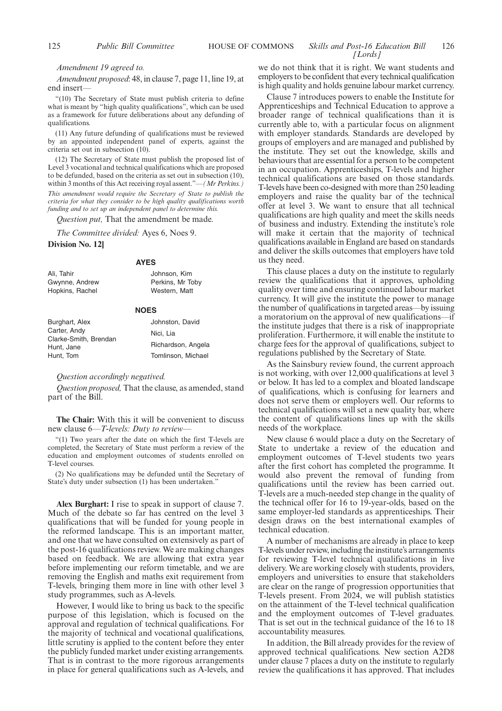## 125 *Public Bill Committee* **HOUSE OF COMMONS** *Skills and Post-16 Education Bill* 126 *[Lords]*

#### *Amendment 19 agreed to.*

*Amendment proposed*: 48, in clause 7, page 11, line 19, at end insert—

"(10) The Secretary of State must publish criteria to define what is meant by "high quality qualifications", which can be used as a framework for future deliberations about any defunding of qualifications.

(11) Any future defunding of qualifications must be reviewed by an appointed independent panel of experts, against the criteria set out in subsection (10).

(12) The Secretary of State must publish the proposed list of Level 3 vocational and technical qualifications which are proposed to be defunded, based on the criteria as set out in subsection (10), within 3 months of this Act receiving royal assent."—*(Mr Perkins.) This amendment would require the Secretary of State to publish the criteria for what they consider to be high quality qualifications worth funding and to set up an independent panel to determine this.*

*Question put,* That the amendment be made.

*The Committee divided:* Ayes 6, Noes 9.

## **Division No. 12]**

## **AYES** Johnson, Kim

| Ali, Tahir      |  |
|-----------------|--|
| Gwynne, Andrew  |  |
| Hopkins, Rachel |  |

#### **NOES**

Perkins, Mr Toby Western, Matt

| Burghart, Alex                                      | Johnston, David    |
|-----------------------------------------------------|--------------------|
| Carter, Andy<br>Clarke-Smith, Brendan<br>Hunt, Jane | Nici. Lia          |
|                                                     | Richardson, Angela |
| Hunt, Tom                                           | Tomlinson, Michael |

## *Question accordingly negatived.*

*Question proposed,* That the clause, as amended, stand part of the Bill.

**The Chair:** With this it will be convenient to discuss new clause 6—*T-levels: Duty to review*—

"(1) Two years after the date on which the first T-levels are completed, the Secretary of State must perform a review of the education and employment outcomes of students enrolled on T-level courses.

(2) No qualifications may be defunded until the Secretary of State's duty under subsection (1) has been undertaken."

**Alex Burghart:** I rise to speak in support of clause 7. Much of the debate so far has centred on the level 3 qualifications that will be funded for young people in the reformed landscape. This is an important matter, and one that we have consulted on extensively as part of the post-16 qualifications review. We are making changes based on feedback. We are allowing that extra year before implementing our reform timetable, and we are removing the English and maths exit requirement from T-levels, bringing them more in line with other level 3 study programmes, such as A-levels.

However, I would like to bring us back to the specific purpose of this legislation, which is focused on the approval and regulation of technical qualifications. For the majority of technical and vocational qualifications, little scrutiny is applied to the content before they enter the publicly funded market under existing arrangements. That is in contrast to the more rigorous arrangements in place for general qualifications such as A-levels, and we do not think that it is right. We want students and employers to be confident that every technical qualification is high quality and holds genuine labour market currency.

Clause 7 introduces powers to enable the Institute for Apprenticeships and Technical Education to approve a broader range of technical qualifications than it is currently able to, with a particular focus on alignment with employer standards. Standards are developed by groups of employers and are managed and published by the institute. They set out the knowledge, skills and behaviours that are essential for a person to be competent in an occupation. Apprenticeships, T-levels and higher technical qualifications are based on those standards. T-levels have been co-designed with more than 250 leading employers and raise the quality bar of the technical offer at level 3. We want to ensure that all technical qualifications are high quality and meet the skills needs of business and industry. Extending the institute's role will make it certain that the majority of technical qualifications available in England are based on standards and deliver the skills outcomes that employers have told us they need.

This clause places a duty on the institute to regularly review the qualifications that it approves, upholding quality over time and ensuring continued labour market currency. It will give the institute the power to manage the number of qualifications in targeted areas—by issuing a moratorium on the approval of new qualifications—if the institute judges that there is a risk of inappropriate proliferation. Furthermore, it will enable the institute to charge fees for the approval of qualifications, subject to regulations published by the Secretary of State.

As the Sainsbury review found, the current approach is not working, with over 12,000 qualifications at level 3 or below. It has led to a complex and bloated landscape of qualifications, which is confusing for learners and does not serve them or employers well. Our reforms to technical qualifications will set a new quality bar, where the content of qualifications lines up with the skills needs of the workplace.

New clause 6 would place a duty on the Secretary of State to undertake a review of the education and employment outcomes of T-level students two years after the first cohort has completed the programme. It would also prevent the removal of funding from qualifications until the review has been carried out. T-levels are a much-needed step change in the quality of the technical offer for 16 to 19-year-olds, based on the same employer-led standards as apprenticeships. Their design draws on the best international examples of technical education.

A number of mechanisms are already in place to keep T-levels under review, including the institute's arrangements for reviewing T-level technical qualifications in live delivery. We are working closely with students, providers, employers and universities to ensure that stakeholders are clear on the range of progression opportunities that T-levels present. From 2024, we will publish statistics on the attainment of the T-level technical qualification and the employment outcomes of T-level graduates. That is set out in the technical guidance of the 16 to 18 accountability measures.

In addition, the Bill already provides for the review of approved technical qualifications. New section A2D8 under clause 7 places a duty on the institute to regularly review the qualifications it has approved. That includes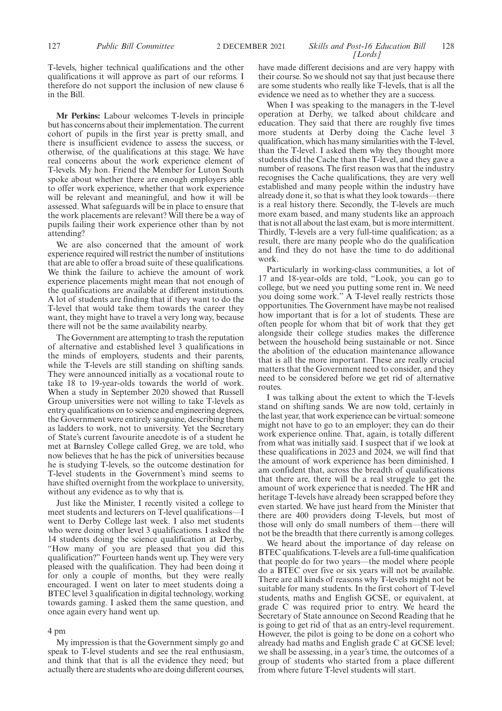## 127 **Public Bill Committee** 2 DECEMBER 2021 *Skills and Post-16 Education Bill* 128 *[Lords]*

T-levels, higher technical qualifications and the other qualifications it will approve as part of our reforms. I therefore do not support the inclusion of new clause 6 in the Bill.

**Mr Perkins:** Labour welcomes T-levels in principle but has concerns about their implementation. The current cohort of pupils in the first year is pretty small, and there is insufficient evidence to assess the success, or otherwise, of the qualifications at this stage. We have real concerns about the work experience element of T-levels. My hon. Friend the Member for Luton South spoke about whether there are enough employers able to offer work experience, whether that work experience will be relevant and meaningful, and how it will be assessed. What safeguards will be in place to ensure that the work placements are relevant? Will there be a way of pupils failing their work experience other than by not attending?

We are also concerned that the amount of work experience required will restrict the number of institutions that are able to offer a broad suite of these qualifications. We think the failure to achieve the amount of work experience placements might mean that not enough of the qualifications are available at different institutions. A lot of students are finding that if they want to do the T-level that would take them towards the career they want, they might have to travel a very long way, because there will not be the same availability nearby.

The Government are attempting to trash the reputation of alternative and established level 3 qualifications in the minds of employers, students and their parents, while the T-levels are still standing on shifting sands. They were announced initially as a vocational route to take 18 to 19-year-olds towards the world of work. When a study in September 2020 showed that Russell Group universities were not willing to take T-levels as entry qualifications on to science and engineering degrees, the Government were entirely sanguine, describing them as ladders to work, not to university. Yet the Secretary of State's current favourite anecdote is of a student he met at Barnsley College called Greg, we are told, who now believes that he has the pick of universities because he is studying T-levels, so the outcome destination for T-level students in the Government's mind seems to have shifted overnight from the workplace to university, without any evidence as to why that is.

Just like the Minister, I recently visited a college to meet students and lecturers on T-level qualifications—I went to Derby College last week. I also met students who were doing other level 3 qualifications. I asked the 14 students doing the science qualification at Derby, "How many of you are pleased that you did this qualification?" Fourteen hands went up. They were very pleased with the qualification. They had been doing it for only a couple of months, but they were really encouraged. I went on later to meet students doing a BTEC level 3 qualification in digital technology, working towards gaming. I asked them the same question, and once again every hand went up.

## 4 pm

My impression is that the Government simply go and speak to T-level students and see the real enthusiasm, and think that that is all the evidence they need; but actually there are students who are doing different courses,

have made different decisions and are very happy with their course. So we should not say that just because there are some students who really like T-levels, that is all the evidence we need as to whether they are a success.

When I was speaking to the managers in the T-level operation at Derby, we talked about childcare and education. They said that there are roughly five times more students at Derby doing the Cache level 3 qualification, which has many similarities with the T-level, than the T-level. I asked them why they thought more students did the Cache than the T-level, and they gave a number of reasons. The first reason was that the industry recognises the Cache qualifications, they are very well established and many people within the industry have already done it, so that is what they look towards—there is a real history there. Secondly, the T-levels are much more exam based, and many students like an approach that is not all about the last exam, but is more intermittent. Thirdly, T-levels are a very full-time qualification; as a result, there are many people who do the qualification and find they do not have the time to do additional work.

Particularly in working-class communities, a lot of 17 and 18-year-olds are told, "Look, you can go to college, but we need you putting some rent in. We need you doing some work." A T-level really restricts those opportunities. The Government have maybe not realised how important that is for a lot of students. These are often people for whom that bit of work that they get alongside their college studies makes the difference between the household being sustainable or not. Since the abolition of the education maintenance allowance that is all the more important. These are really crucial matters that the Government need to consider, and they need to be considered before we get rid of alternative routes.

I was talking about the extent to which the T-levels stand on shifting sands. We are now told, certainly in the last year, that work experience can be virtual: someone might not have to go to an employer; they can do their work experience online. That, again, is totally different from what was initially said. I suspect that if we look at these qualifications in 2023 and 2024, we will find that the amount of work experience has been diminished. I am confident that, across the breadth of qualifications that there are, there will be a real struggle to get the amount of work experience that is needed. The HR and heritage T-levels have already been scrapped before they even started. We have just heard from the Minister that there are 400 providers doing T-levels, but most of those will only do small numbers of them—there will not be the breadth that there currently is among colleges.

We heard about the importance of day release on BTEC qualifications. T-levels are a full-time qualification that people do for two years—the model where people do a BTEC over five or six years will not be available. There are all kinds of reasons why T-levels might not be suitable for many students. In the first cohort of T-level students, maths and English GCSE, or equivalent, at grade C was required prior to entry. We heard the Secretary of State announce on Second Reading that he is going to get rid of that as an entry-level requirement. However, the pilot is going to be done on a cohort who already had maths and English grade C at GCSE level; we shall be assessing, in a year's time, the outcomes of a group of students who started from a place different from where future T-level students will start.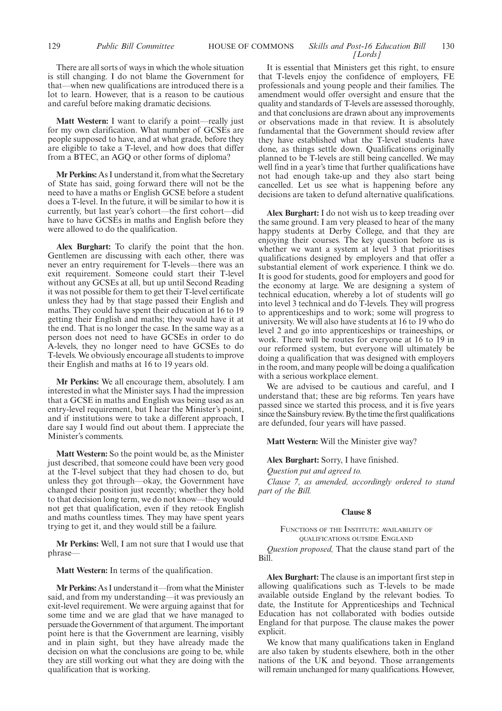## There are all sorts of ways in which the whole situation is still changing. I do not blame the Government for that—when new qualifications are introduced there is a lot to learn. However, that is a reason to be cautious and careful before making dramatic decisions.

**Matt Western:** I want to clarify a point—really just for my own clarification. What number of GCSEs are people supposed to have, and at what grade, before they are eligible to take a T-level, and how does that differ from a BTEC, an AGQ or other forms of diploma?

**Mr Perkins:** As I understand it, from what the Secretary of State has said, going forward there will not be the need to have a maths or English GCSE before a student does a T-level. In the future, it will be similar to how it is currently, but last year's cohort—the first cohort—did have to have GCSEs in maths and English before they were allowed to do the qualification.

**Alex Burghart:** To clarify the point that the hon. Gentlemen are discussing with each other, there was never an entry requirement for T-levels—there was an exit requirement. Someone could start their T-level without any GCSEs at all, but up until Second Reading it was not possible for them to get their T-level certificate unless they had by that stage passed their English and maths. They could have spent their education at 16 to 19 getting their English and maths; they would have it at the end. That is no longer the case. In the same way as a person does not need to have GCSEs in order to do A-levels, they no longer need to have GCSEs to do T-levels. We obviously encourage all students to improve their English and maths at 16 to 19 years old.

**Mr Perkins:** We all encourage them, absolutely. I am interested in what the Minister says. I had the impression that a GCSE in maths and English was being used as an entry-level requirement, but I hear the Minister's point, and if institutions were to take a different approach, I dare say I would find out about them. I appreciate the Minister's comments.

**Matt Western:** So the point would be, as the Minister just described, that someone could have been very good at the T-level subject that they had chosen to do, but unless they got through—okay, the Government have changed their position just recently; whether they hold to that decision long term, we do not know—they would not get that qualification, even if they retook English and maths countless times. They may have spent years trying to get it, and they would still be a failure.

**Mr Perkins:** Well, I am not sure that I would use that phrase—

**Matt Western:** In terms of the qualification.

**Mr Perkins:** As I understand it—from what the Minister said, and from my understanding—it was previously an exit-level requirement. We were arguing against that for some time and we are glad that we have managed to persuade the Government of that argument. The important point here is that the Government are learning, visibly and in plain sight, but they have already made the decision on what the conclusions are going to be, while they are still working out what they are doing with the qualification that is working.

## 129 *Public Bill Committee Skills and Post-16 Education Bill* HOUSE OF COMMONS 130 *[Lords]*

It is essential that Ministers get this right, to ensure that T-levels enjoy the confidence of employers, FE professionals and young people and their families. The amendment would offer oversight and ensure that the quality and standards of T-levels are assessed thoroughly, and that conclusions are drawn about any improvements or observations made in that review. It is absolutely fundamental that the Government should review after they have established what the T-level students have done, as things settle down. Qualifications originally planned to be T-levels are still being cancelled. We may well find in a year's time that further qualifications have not had enough take-up and they also start being cancelled. Let us see what is happening before any decisions are taken to defund alternative qualifications.

**Alex Burghart:** I do not wish us to keep treading over the same ground. I am very pleased to hear of the many happy students at Derby College, and that they are enjoying their courses. The key question before us is whether we want a system at level 3 that prioritises qualifications designed by employers and that offer a substantial element of work experience. I think we do. It is good for students, good for employers and good for the economy at large. We are designing a system of technical education, whereby a lot of students will go into level 3 technical and do T-levels. They will progress to apprenticeships and to work; some will progress to university. We will also have students at 16 to 19 who do level 2 and go into apprenticeships or traineeships, or work. There will be routes for everyone at 16 to 19 in our reformed system, but everyone will ultimately be doing a qualification that was designed with employers in the room, and many people will be doing a qualification with a serious workplace element.

We are advised to be cautious and careful, and I understand that; these are big reforms. Ten years have passed since we started this process, and it is five years since the Sainsbury review. By the time the first qualifications are defunded, four years will have passed.

**Matt Western:** Will the Minister give way?

**Alex Burghart:** Sorry, I have finished.

*Question put and agreed to.*

*Clause 7, as amended, accordingly ordered to stand part of the Bill.*

## **Clause 8**

FUNCTIONS OF THE INSTITUTE: AVAILABILITY OF QUALIFICATIONS OUTSIDE ENGLAND

*Question proposed,* That the clause stand part of the Bill.

**Alex Burghart:** The clause is an important first step in allowing qualifications such as T-levels to be made available outside England by the relevant bodies. To date, the Institute for Apprenticeships and Technical Education has not collaborated with bodies outside England for that purpose. The clause makes the power explicit.

We know that many qualifications taken in England are also taken by students elsewhere, both in the other nations of the UK and beyond. Those arrangements will remain unchanged for many qualifications. However,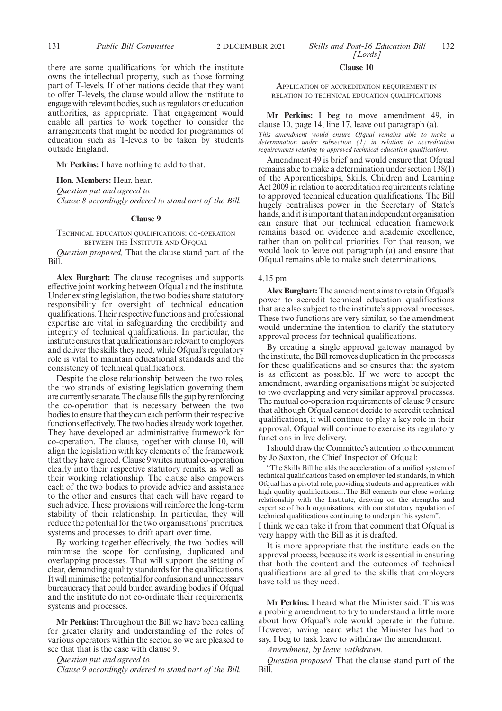there are some qualifications for which the institute owns the intellectual property, such as those forming part of T-levels. If other nations decide that they want to offer T-levels, the clause would allow the institute to engage with relevant bodies, such as regulators or education authorities, as appropriate. That engagement would enable all parties to work together to consider the arrangements that might be needed for programmes of education such as T-levels to be taken by students outside England.

**Mr Perkins:** I have nothing to add to that.

**Hon. Members:** Hear, hear.

*Question put and agreed to. Clause 8 accordingly ordered to stand part of the Bill.*

#### **Clause 9**

TECHNICAL EDUCATION QUALIFICATIONS: CO-OPERATION BETWEEN THE INSTITUTE AND OFQUAL

*Question proposed,* That the clause stand part of the Bill.

**Alex Burghart:** The clause recognises and supports effective joint working between Ofqual and the institute. Under existing legislation, the two bodies share statutory responsibility for oversight of technical education qualifications. Their respective functions and professional expertise are vital in safeguarding the credibility and integrity of technical qualifications. In particular, the institute ensures that qualifications are relevant to employers and deliver the skills they need, while Ofqual's regulatory role is vital to maintain educational standards and the consistency of technical qualifications.

Despite the close relationship between the two roles, the two strands of existing legislation governing them are currently separate. The clause fills the gap by reinforcing the co-operation that is necessary between the two bodies to ensure that they can each perform their respective functions effectively. The two bodies already work together. They have developed an administrative framework for co-operation. The clause, together with clause 10, will align the legislation with key elements of the framework that they have agreed. Clause 9 writes mutual co-operation clearly into their respective statutory remits, as well as their working relationship. The clause also empowers each of the two bodies to provide advice and assistance to the other and ensures that each will have regard to such advice. These provisions will reinforce the long-term stability of their relationship. In particular, they will reduce the potential for the two organisations' priorities, systems and processes to drift apart over time.

By working together effectively, the two bodies will minimise the scope for confusing, duplicated and overlapping processes. That will support the setting of clear, demanding quality standards for the qualifications. It will minimise the potential for confusion and unnecessary bureaucracy that could burden awarding bodies if Ofqual and the institute do not co-ordinate their requirements, systems and processes.

**Mr Perkins:** Throughout the Bill we have been calling for greater clarity and understanding of the roles of various operators within the sector, so we are pleased to see that that is the case with clause 9.

*Question put and agreed to.*

*Clause 9 accordingly ordered to stand part of the Bill.*

## **Clause 10**

APPLICATION OF ACCREDITATION REQUIREMENT IN RELATION TO TECHNICAL EDUCATION QUALIFICATIONS

## **Mr Perkins:** I beg to move amendment 49, in clause 10, page 14, line 17, leave out paragraph (a).

*This amendment would ensure Ofqual remains able to make a determination under subsection (1) in relation to accreditation requirements relating to approved technical education qualifications.*

Amendment 49 is brief and would ensure that Ofqual remains able to make a determination under section 138(1) of the Apprenticeships, Skills, Children and Learning Act 2009 in relation to accreditation requirements relating to approved technical education qualifications. The Bill hugely centralises power in the Secretary of State's hands, and it is important that an independent organisation can ensure that our technical education framework remains based on evidence and academic excellence, rather than on political priorities. For that reason, we would look to leave out paragraph (a) and ensure that Ofqual remains able to make such determinations.

#### 4.15 pm

**Alex Burghart:** The amendment aims to retain Ofqual's power to accredit technical education qualifications that are also subject to the institute's approval processes. These two functions are very similar, so the amendment would undermine the intention to clarify the statutory approval process for technical qualifications.

By creating a single approval gateway managed by the institute, the Bill removes duplication in the processes for these qualifications and so ensures that the system is as efficient as possible. If we were to accept the amendment, awarding organisations might be subjected to two overlapping and very similar approval processes. The mutual co-operation requirements of clause 9 ensure that although Ofqual cannot decide to accredit technical qualifications, it will continue to play a key role in their approval. Ofqual will continue to exercise its regulatory functions in live delivery.

I should draw the Committee's attention to the comment by Jo Saxton, the Chief Inspector of Ofqual:

"The Skills Bill heralds the acceleration of a unified system of technical qualifications based on employer-led standards, in which Ofqual has a pivotal role, providing students and apprentices with high quality qualifications…The Bill cements our close working relationship with the Institute, drawing on the strengths and expertise of both organisations, with our statutory regulation of technical qualifications continuing to underpin this system".

I think we can take it from that comment that Ofqual is very happy with the Bill as it is drafted.

It is more appropriate that the institute leads on the approval process, because its work is essential in ensuring that both the content and the outcomes of technical qualifications are aligned to the skills that employers have told us they need.

**Mr Perkins:** I heard what the Minister said. This was a probing amendment to try to understand a little more about how Ofqual's role would operate in the future. However, having heard what the Minister has had to say, I beg to task leave to withdraw the amendment.

*Amendment, by leave, withdrawn.*

*Question proposed,* That the clause stand part of the Bill.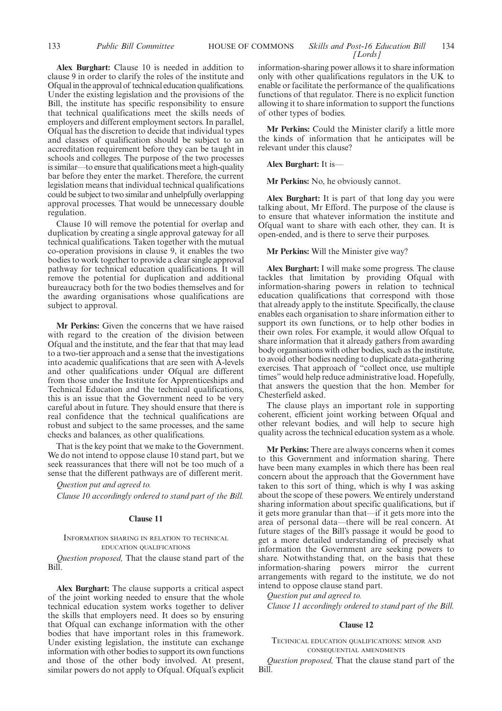**Alex Burghart:** Clause 10 is needed in addition to clause 9 in order to clarify the roles of the institute and Ofqual in the approval of technical education qualifications. Under the existing legislation and the provisions of the Bill, the institute has specific responsibility to ensure that technical qualifications meet the skills needs of employers and different employment sectors. In parallel, Ofqual has the discretion to decide that individual types and classes of qualification should be subject to an accreditation requirement before they can be taught in schools and colleges. The purpose of the two processes is similar—to ensure that qualifications meet a high-quality bar before they enter the market. Therefore, the current legislation means that individual technical qualifications could be subject to two similar and unhelpfully overlapping approval processes. That would be unnecessary double regulation.

Clause 10 will remove the potential for overlap and duplication by creating a single approval gateway for all technical qualifications. Taken together with the mutual co-operation provisions in clause 9, it enables the two bodies to work together to provide a clear single approval pathway for technical education qualifications. It will remove the potential for duplication and additional bureaucracy both for the two bodies themselves and for the awarding organisations whose qualifications are subject to approval.

**Mr Perkins:** Given the concerns that we have raised with regard to the creation of the division between Ofqual and the institute, and the fear that that may lead to a two-tier approach and a sense that the investigations into academic qualifications that are seen with A-levels and other qualifications under Ofqual are different from those under the Institute for Apprenticeships and Technical Education and the technical qualifications, this is an issue that the Government need to be very careful about in future. They should ensure that there is real confidence that the technical qualifications are robust and subject to the same processes, and the same checks and balances, as other qualifications.

That is the key point that we make to the Government. We do not intend to oppose clause 10 stand part, but we seek reassurances that there will not be too much of a sense that the different pathways are of different merit.

*Question put and agreed to. Clause 10 accordingly ordered to stand part of the Bill.*

#### **Clause 11**

## INFORMATION SHARING IN RELATION TO TECHNICAL EDUCATION QUALIFICATIONS

*Question proposed,* That the clause stand part of the Bill.

**Alex Burghart:** The clause supports a critical aspect of the joint working needed to ensure that the whole technical education system works together to deliver the skills that employers need. It does so by ensuring that Ofqual can exchange information with the other bodies that have important roles in this framework. Under existing legislation, the institute can exchange information with other bodies to support its own functions and those of the other body involved. At present, similar powers do not apply to Ofqual. Ofqual's explicit information-sharing power allows it to share information only with other qualifications regulators in the UK to enable or facilitate the performance of the qualifications functions of that regulator. There is no explicit function allowing it to share information to support the functions of other types of bodies.

**Mr Perkins:** Could the Minister clarify a little more the kinds of information that he anticipates will be relevant under this clause?

## **Alex Burghart:** It is—

**Mr Perkins:** No, he obviously cannot.

**Alex Burghart:** It is part of that long day you were talking about, Mr Efford. The purpose of the clause is to ensure that whatever information the institute and Ofqual want to share with each other, they can. It is open-ended, and is there to serve their purposes.

## **Mr Perkins:** Will the Minister give way?

**Alex Burghart:** I will make some progress. The clause tackles that limitation by providing Ofqual with information-sharing powers in relation to technical education qualifications that correspond with those that already apply to the institute. Specifically, the clause enables each organisation to share information either to support its own functions, or to help other bodies in their own roles. For example, it would allow Ofqual to share information that it already gathers from awarding body organisations with other bodies, such as the institute, to avoid other bodies needing to duplicate data-gathering exercises. That approach of "collect once, use multiple times" would help reduce administrative load. Hopefully, that answers the question that the hon. Member for Chesterfield asked.

The clause plays an important role in supporting coherent, efficient joint working between Ofqual and other relevant bodies, and will help to secure high quality across the technical education system as a whole.

**Mr Perkins:** There are always concerns when it comes to this Government and information sharing. There have been many examples in which there has been real concern about the approach that the Government have taken to this sort of thing, which is why I was asking about the scope of these powers. We entirely understand sharing information about specific qualifications, but if it gets more granular than that—if it gets more into the area of personal data—there will be real concern. At future stages of the Bill's passage it would be good to get a more detailed understanding of precisely what information the Government are seeking powers to share. Notwithstanding that, on the basis that these information-sharing powers mirror the current arrangements with regard to the institute, we do not intend to oppose clause stand part.

*Question put and agreed to. Clause 11 accordingly ordered to stand part of the Bill.*

## **Clause 12**

TECHNICAL EDUCATION QUALIFICATIONS: MINOR AND CONSEQUENTIAL AMENDMENTS

*Question proposed,* That the clause stand part of the Bill.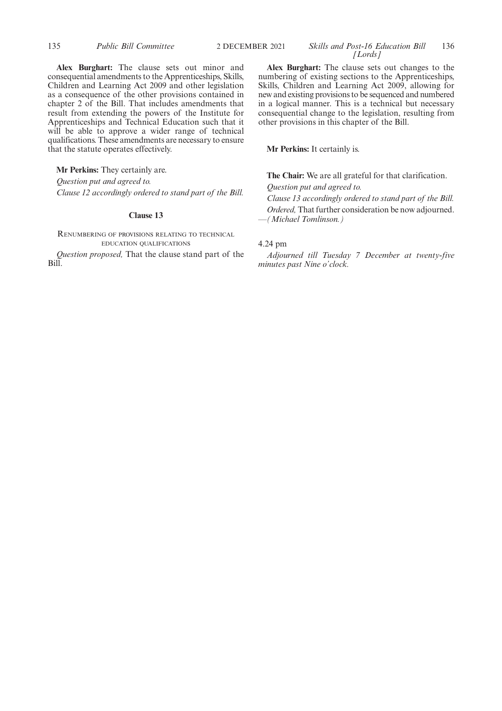**Alex Burghart:** The clause sets out minor and consequential amendments to the Apprenticeships, Skills, Children and Learning Act 2009 and other legislation as a consequence of the other provisions contained in chapter 2 of the Bill. That includes amendments that result from extending the powers of the Institute for Apprenticeships and Technical Education such that it will be able to approve a wider range of technical qualifications. These amendments are necessary to ensure that the statute operates effectively.

**Mr Perkins:** They certainly are.

*Question put and agreed to.*

*Clause 12 accordingly ordered to stand part of the Bill.*

## **Clause 13**

RENUMBERING OF PROVISIONS RELATING TO TECHNICAL EDUCATION QUALIFICATIONS

*Question proposed,* That the clause stand part of the Bill.

**Alex Burghart:** The clause sets out changes to the numbering of existing sections to the Apprenticeships, Skills, Children and Learning Act 2009, allowing for new and existing provisions to be sequenced and numbered in a logical manner. This is a technical but necessary consequential change to the legislation, resulting from other provisions in this chapter of the Bill.

**Mr Perkins:** It certainly is.

**The Chair:** We are all grateful for that clarification.

*Question put and agreed to.*

*Clause 13 accordingly ordered to stand part of the Bill. Ordered,* That further consideration be now adjourned. —*(Michael Tomlinson.)*

## 4.24 pm

*Adjourned till Tuesday 7 December at twenty-five minutes past Nine o'clock.*